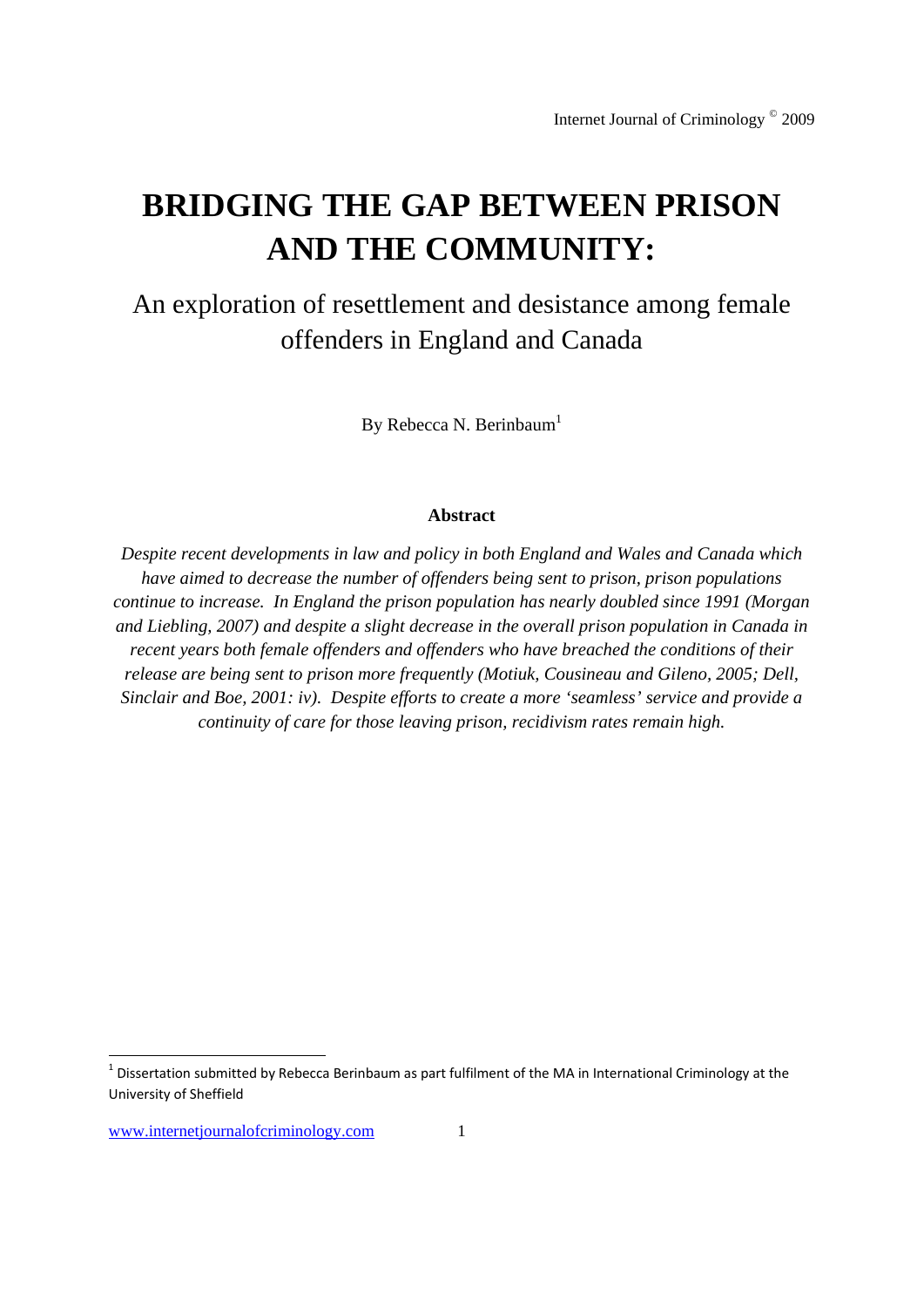# **BRIDGING THE GAP BETWEEN PRISON AND THE COMMUNITY:**

An exploration of resettlement and desistance among female offenders in England and Canada

By Rebecca N. Berinbaum<sup>1</sup>

#### **Abstract**

*Despite recent developments in law and policy in both England and Wales and Canada which have aimed to decrease the number of offenders being sent to prison, prison populations continue to increase. In England the prison population has nearly doubled since 1991 (Morgan and Liebling, 2007) and despite a slight decrease in the overall prison population in Canada in recent years both female offenders and offenders who have breached the conditions of their release are being sent to prison more frequently (Motiuk, Cousineau and Gileno, 2005; Dell, Sinclair and Boe, 2001: iv). Despite efforts to create a more 'seamless' service and provide a continuity of care for those leaving prison, recidivism rates remain high.*

<u> Andrew Maria (1989)</u>

 $1$  Dissertation submitted by Rebecca Berinbaum as part fulfilment of the MA in International Criminology at the University of Sheffield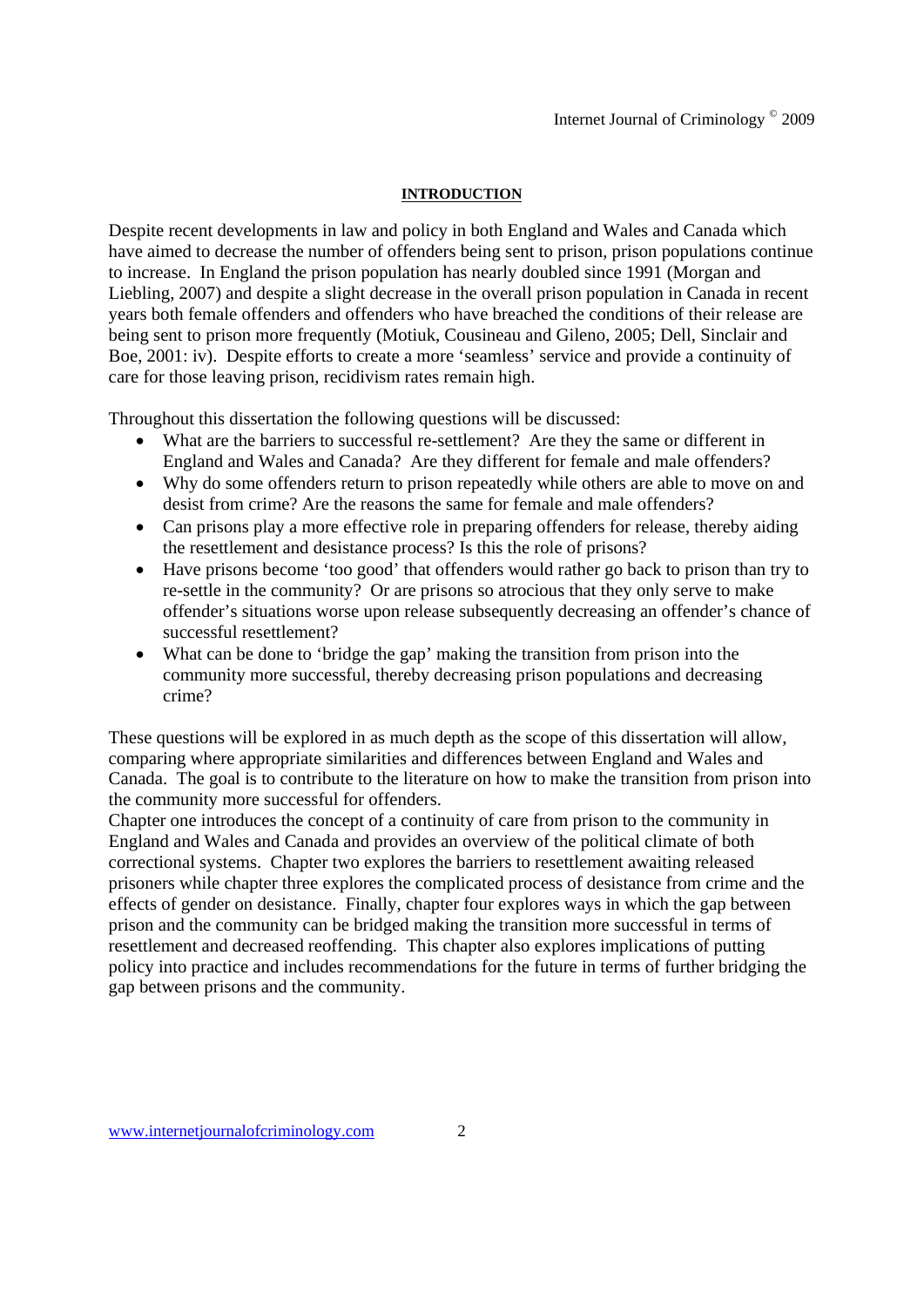## **INTRODUCTION**

Despite recent developments in law and policy in both England and Wales and Canada which have aimed to decrease the number of offenders being sent to prison, prison populations continue to increase. In England the prison population has nearly doubled since 1991 (Morgan and Liebling, 2007) and despite a slight decrease in the overall prison population in Canada in recent years both female offenders and offenders who have breached the conditions of their release are being sent to prison more frequently (Motiuk, Cousineau and Gileno, 2005; Dell, Sinclair and Boe, 2001: iv). Despite efforts to create a more 'seamless' service and provide a continuity of care for those leaving prison, recidivism rates remain high.

Throughout this dissertation the following questions will be discussed:

- What are the barriers to successful re-settlement? Are they the same or different in England and Wales and Canada? Are they different for female and male offenders?
- Why do some offenders return to prison repeatedly while others are able to move on and desist from crime? Are the reasons the same for female and male offenders?
- Can prisons play a more effective role in preparing offenders for release, thereby aiding the resettlement and desistance process? Is this the role of prisons?
- Have prisons become 'too good' that offenders would rather go back to prison than try to re-settle in the community? Or are prisons so atrocious that they only serve to make offender's situations worse upon release subsequently decreasing an offender's chance of successful resettlement?
- What can be done to 'bridge the gap' making the transition from prison into the community more successful, thereby decreasing prison populations and decreasing crime?

These questions will be explored in as much depth as the scope of this dissertation will allow, comparing where appropriate similarities and differences between England and Wales and Canada. The goal is to contribute to the literature on how to make the transition from prison into the community more successful for offenders.

Chapter one introduces the concept of a continuity of care from prison to the community in England and Wales and Canada and provides an overview of the political climate of both correctional systems. Chapter two explores the barriers to resettlement awaiting released prisoners while chapter three explores the complicated process of desistance from crime and the effects of gender on desistance. Finally, chapter four explores ways in which the gap between prison and the community can be bridged making the transition more successful in terms of resettlement and decreased reoffending. This chapter also explores implications of putting policy into practice and includes recommendations for the future in terms of further bridging the gap between prisons and the community.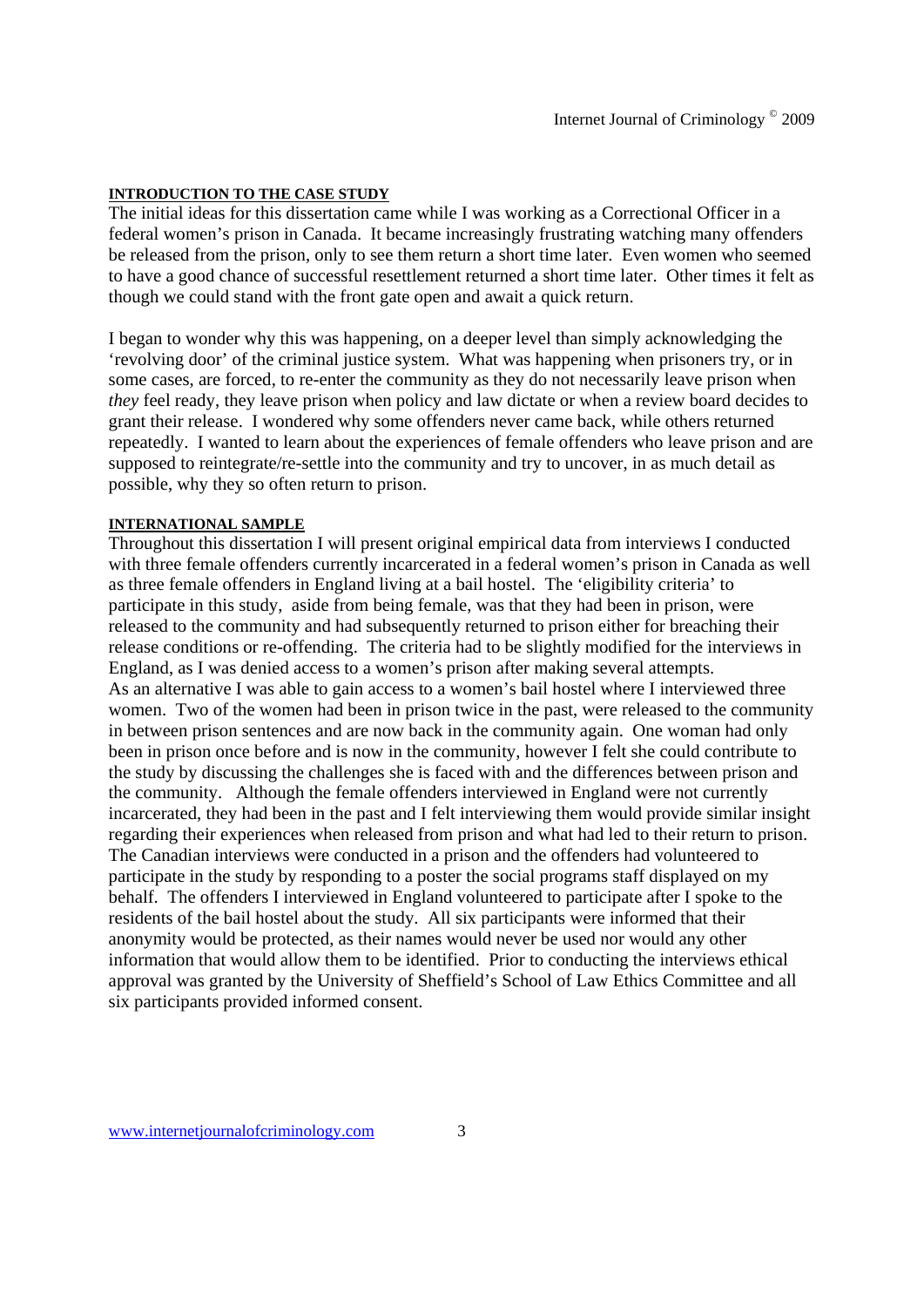## **INTRODUCTION TO THE CASE STUDY**

The initial ideas for this dissertation came while I was working as a Correctional Officer in a federal women's prison in Canada. It became increasingly frustrating watching many offenders be released from the prison, only to see them return a short time later. Even women who seemed to have a good chance of successful resettlement returned a short time later. Other times it felt as though we could stand with the front gate open and await a quick return.

I began to wonder why this was happening, on a deeper level than simply acknowledging the 'revolving door' of the criminal justice system. What was happening when prisoners try, or in some cases, are forced, to re-enter the community as they do not necessarily leave prison when *they* feel ready, they leave prison when policy and law dictate or when a review board decides to grant their release. I wondered why some offenders never came back, while others returned repeatedly. I wanted to learn about the experiences of female offenders who leave prison and are supposed to reintegrate/re-settle into the community and try to uncover, in as much detail as possible, why they so often return to prison.

#### **INTERNATIONAL SAMPLE**

Throughout this dissertation I will present original empirical data from interviews I conducted with three female offenders currently incarcerated in a federal women's prison in Canada as well as three female offenders in England living at a bail hostel. The 'eligibility criteria' to participate in this study, aside from being female, was that they had been in prison, were released to the community and had subsequently returned to prison either for breaching their release conditions or re-offending. The criteria had to be slightly modified for the interviews in England, as I was denied access to a women's prison after making several attempts. As an alternative I was able to gain access to a women's bail hostel where I interviewed three women. Two of the women had been in prison twice in the past, were released to the community in between prison sentences and are now back in the community again. One woman had only been in prison once before and is now in the community, however I felt she could contribute to the study by discussing the challenges she is faced with and the differences between prison and the community. Although the female offenders interviewed in England were not currently incarcerated, they had been in the past and I felt interviewing them would provide similar insight regarding their experiences when released from prison and what had led to their return to prison. The Canadian interviews were conducted in a prison and the offenders had volunteered to participate in the study by responding to a poster the social programs staff displayed on my behalf. The offenders I interviewed in England volunteered to participate after I spoke to the residents of the bail hostel about the study. All six participants were informed that their anonymity would be protected, as their names would never be used nor would any other information that would allow them to be identified. Prior to conducting the interviews ethical approval was granted by the University of Sheffield's School of Law Ethics Committee and all six participants provided informed consent.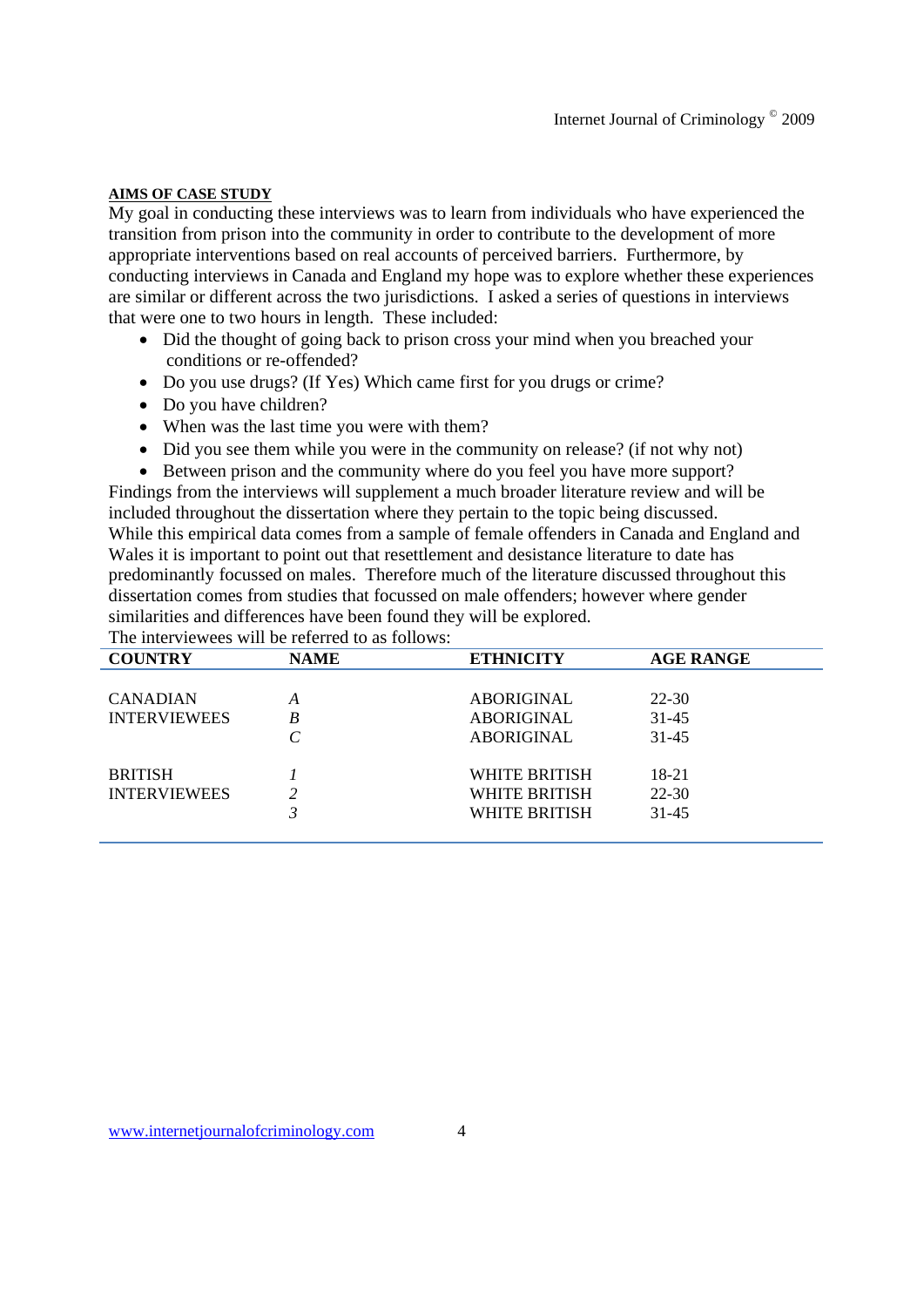## **AIMS OF CASE STUDY**

My goal in conducting these interviews was to learn from individuals who have experienced the transition from prison into the community in order to contribute to the development of more appropriate interventions based on real accounts of perceived barriers. Furthermore, by conducting interviews in Canada and England my hope was to explore whether these experiences are similar or different across the two jurisdictions. I asked a series of questions in interviews that were one to two hours in length. These included:

- Did the thought of going back to prison cross your mind when you breached your conditions or re-offended?
- Do you use drugs? (If Yes) Which came first for you drugs or crime?
- Do you have children?
- When was the last time you were with them?
- Did you see them while you were in the community on release? (if not why not)

 Between prison and the community where do you feel you have more support? Findings from the interviews will supplement a much broader literature review and will be included throughout the dissertation where they pertain to the topic being discussed. While this empirical data comes from a sample of female offenders in Canada and England and Wales it is important to point out that resettlement and desistance literature to date has predominantly focussed on males. Therefore much of the literature discussed throughout this dissertation comes from studies that focussed on male offenders; however where gender similarities and differences have been found they will be explored.

The interviewees will be referred to as follows:

| <b>COUNTRY</b>      | <b>NAME</b> | <b>ETHNICITY</b>  | <b>AGE RANGE</b> |
|---------------------|-------------|-------------------|------------------|
|                     |             |                   |                  |
| <b>CANADIAN</b>     | A           | <b>ABORIGINAL</b> | 22-30            |
| <b>INTERVIEWEES</b> | B           | <b>ABORIGINAL</b> | $31 - 45$        |
|                     |             | <b>ABORIGINAL</b> | $31 - 45$        |
|                     |             |                   |                  |
| <b>BRITISH</b>      |             | WHITE BRITISH     | 18-21            |
| <b>INTERVIEWEES</b> |             | WHITE BRITISH     | $22 - 30$        |
|                     |             | WHITE BRITISH     | $31 - 45$        |
|                     |             |                   |                  |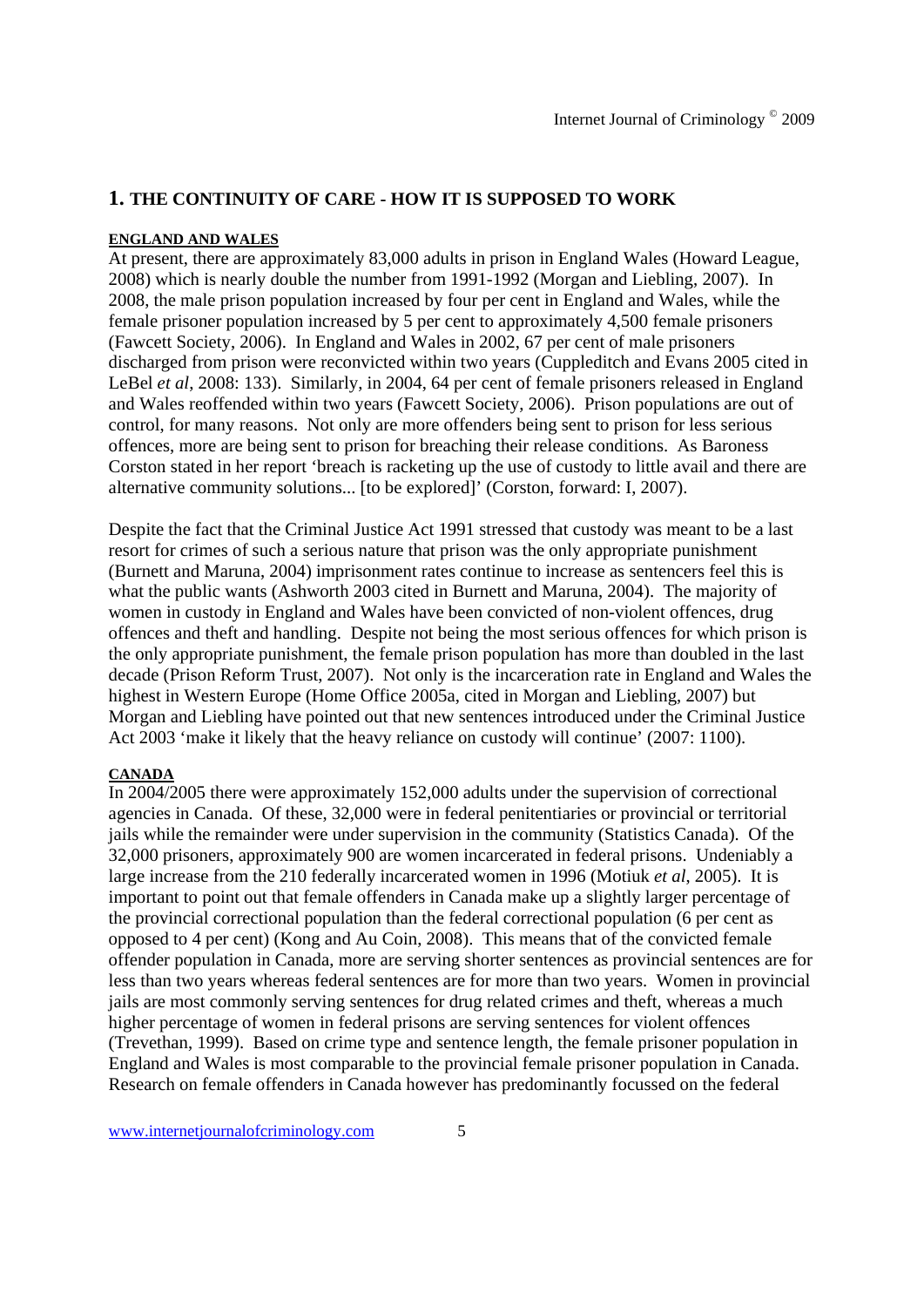# **1. THE CONTINUITY OF CARE - HOW IT IS SUPPOSED TO WORK**

## **ENGLAND AND WALES**

At present, there are approximately 83,000 adults in prison in England Wales (Howard League, 2008) which is nearly double the number from 1991-1992 (Morgan and Liebling, 2007). In 2008, the male prison population increased by four per cent in England and Wales, while the female prisoner population increased by 5 per cent to approximately 4,500 female prisoners (Fawcett Society, 2006). In England and Wales in 2002, 67 per cent of male prisoners discharged from prison were reconvicted within two years (Cuppleditch and Evans 2005 cited in LeBel *et al*, 2008: 133). Similarly, in 2004, 64 per cent of female prisoners released in England and Wales reoffended within two years (Fawcett Society, 2006). Prison populations are out of control, for many reasons. Not only are more offenders being sent to prison for less serious offences, more are being sent to prison for breaching their release conditions. As Baroness Corston stated in her report 'breach is racketing up the use of custody to little avail and there are alternative community solutions... [to be explored]' (Corston, forward: I, 2007).

Despite the fact that the Criminal Justice Act 1991 stressed that custody was meant to be a last resort for crimes of such a serious nature that prison was the only appropriate punishment (Burnett and Maruna, 2004) imprisonment rates continue to increase as sentencers feel this is what the public wants (Ashworth 2003 cited in Burnett and Maruna, 2004). The majority of women in custody in England and Wales have been convicted of non-violent offences, drug offences and theft and handling. Despite not being the most serious offences for which prison is the only appropriate punishment, the female prison population has more than doubled in the last decade (Prison Reform Trust, 2007). Not only is the incarceration rate in England and Wales the highest in Western Europe (Home Office 2005a, cited in Morgan and Liebling, 2007) but Morgan and Liebling have pointed out that new sentences introduced under the Criminal Justice Act 2003 'make it likely that the heavy reliance on custody will continue' (2007: 1100).

## **CANADA**

In 2004/2005 there were approximately 152,000 adults under the supervision of correctional agencies in Canada. Of these, 32,000 were in federal penitentiaries or provincial or territorial jails while the remainder were under supervision in the community (Statistics Canada). Of the 32,000 prisoners, approximately 900 are women incarcerated in federal prisons. Undeniably a large increase from the 210 federally incarcerated women in 1996 (Motiuk *et al*, 2005). It is important to point out that female offenders in Canada make up a slightly larger percentage of the provincial correctional population than the federal correctional population (6 per cent as opposed to 4 per cent) (Kong and Au Coin, 2008). This means that of the convicted female offender population in Canada, more are serving shorter sentences as provincial sentences are for less than two years whereas federal sentences are for more than two years. Women in provincial jails are most commonly serving sentences for drug related crimes and theft, whereas a much higher percentage of women in federal prisons are serving sentences for violent offences (Trevethan, 1999). Based on crime type and sentence length, the female prisoner population in England and Wales is most comparable to the provincial female prisoner population in Canada. Research on female offenders in Canada however has predominantly focussed on the federal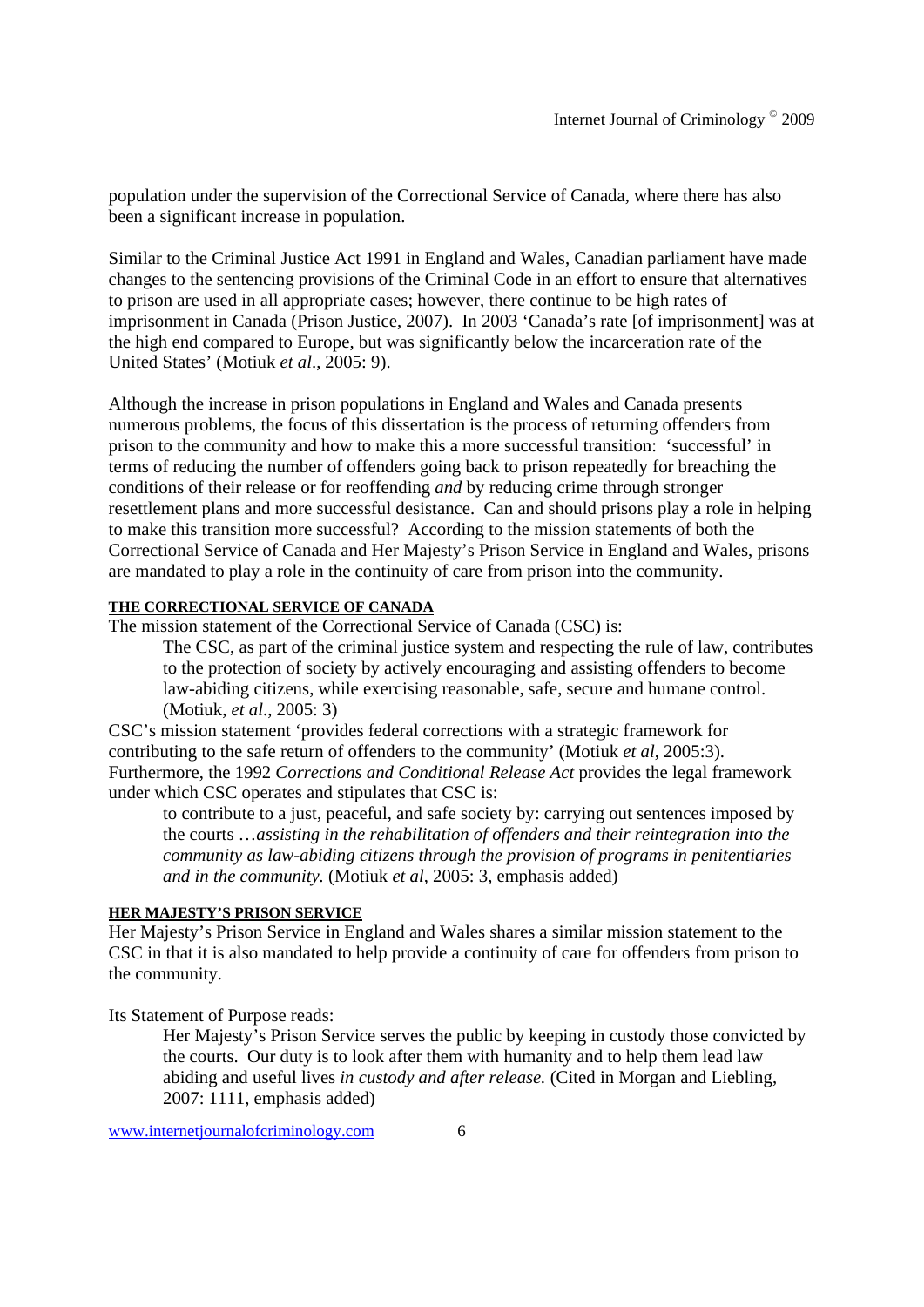population under the supervision of the Correctional Service of Canada, where there has also been a significant increase in population.

Similar to the Criminal Justice Act 1991 in England and Wales, Canadian parliament have made changes to the sentencing provisions of the Criminal Code in an effort to ensure that alternatives to prison are used in all appropriate cases; however, there continue to be high rates of imprisonment in Canada (Prison Justice, 2007). In 2003 'Canada's rate [of imprisonment] was at the high end compared to Europe, but was significantly below the incarceration rate of the United States' (Motiuk *et al*., 2005: 9).

Although the increase in prison populations in England and Wales and Canada presents numerous problems, the focus of this dissertation is the process of returning offenders from prison to the community and how to make this a more successful transition: 'successful' in terms of reducing the number of offenders going back to prison repeatedly for breaching the conditions of their release or for reoffending *and* by reducing crime through stronger resettlement plans and more successful desistance. Can and should prisons play a role in helping to make this transition more successful? According to the mission statements of both the Correctional Service of Canada and Her Majesty's Prison Service in England and Wales, prisons are mandated to play a role in the continuity of care from prison into the community.

# **THE CORRECTIONAL SERVICE OF CANADA**

The mission statement of the Correctional Service of Canada (CSC) is:

The CSC, as part of the criminal justice system and respecting the rule of law, contributes to the protection of society by actively encouraging and assisting offenders to become law-abiding citizens, while exercising reasonable, safe, secure and humane control. (Motiuk, *et al*., 2005: 3)

CSC's mission statement 'provides federal corrections with a strategic framework for contributing to the safe return of offenders to the community' (Motiuk *et al*, 2005:3). Furthermore, the 1992 *Corrections and Conditional Release Act* provides the legal framework under which CSC operates and stipulates that CSC is:

to contribute to a just, peaceful, and safe society by: carrying out sentences imposed by the courts …*assisting in the rehabilitation of offenders and their reintegration into the community as law-abiding citizens through the provision of programs in penitentiaries and in the community.* (Motiuk *et al*, 2005: 3, emphasis added)

## **HER MAJESTY'S PRISON SERVICE**

Her Majesty's Prison Service in England and Wales shares a similar mission statement to the CSC in that it is also mandated to help provide a continuity of care for offenders from prison to the community.

Its Statement of Purpose reads:

Her Majesty's Prison Service serves the public by keeping in custody those convicted by the courts. Our duty is to look after them with humanity and to help them lead law abiding and useful lives *in custody and after release.* (Cited in Morgan and Liebling, 2007: 1111, emphasis added)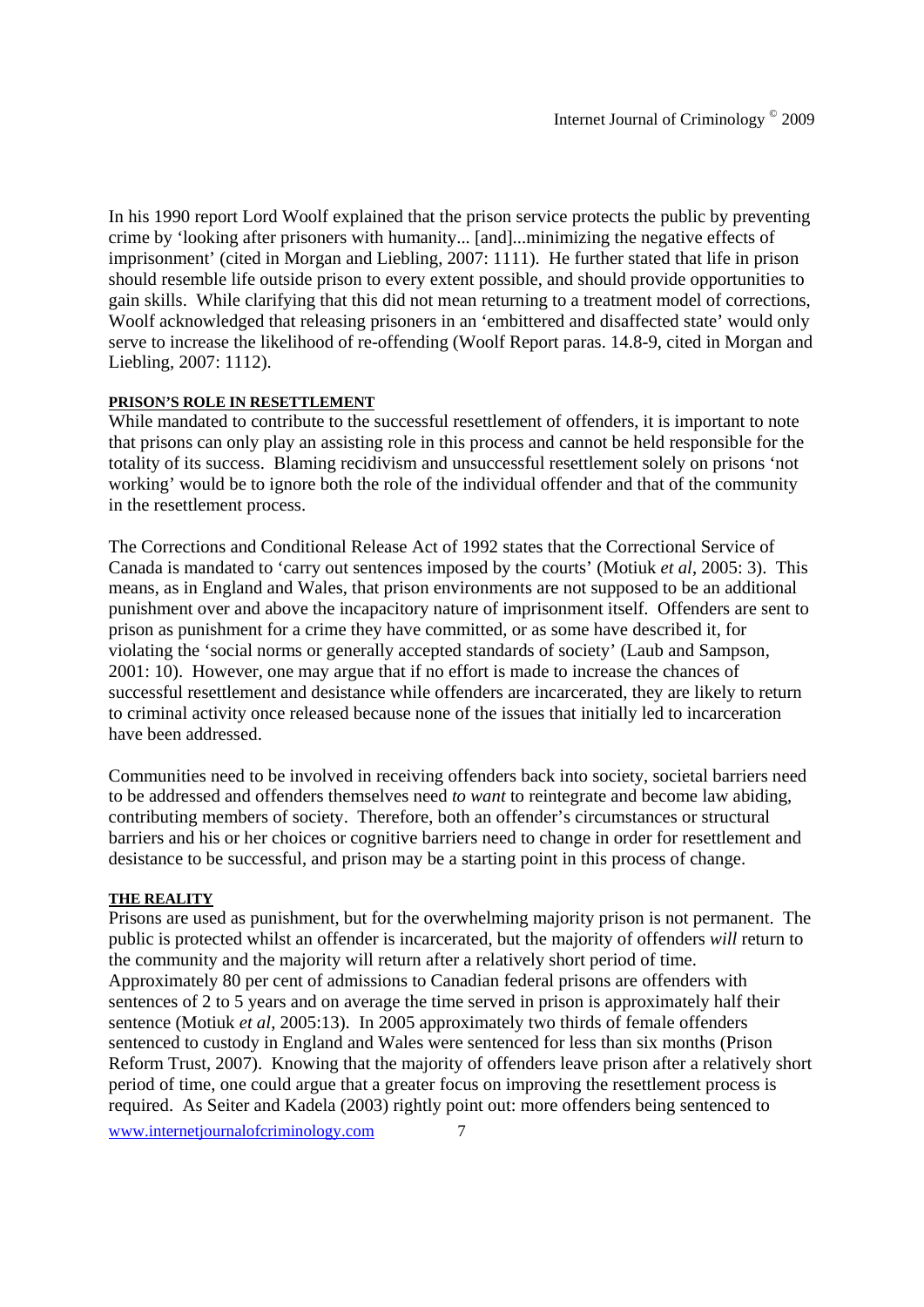In his 1990 report Lord Woolf explained that the prison service protects the public by preventing crime by 'looking after prisoners with humanity... [and]...minimizing the negative effects of imprisonment' (cited in Morgan and Liebling, 2007: 1111). He further stated that life in prison should resemble life outside prison to every extent possible, and should provide opportunities to gain skills. While clarifying that this did not mean returning to a treatment model of corrections, Woolf acknowledged that releasing prisoners in an 'embittered and disaffected state' would only serve to increase the likelihood of re-offending (Woolf Report paras. 14.8-9, cited in Morgan and Liebling, 2007: 1112).

## **PRISON'S ROLE IN RESETTLEMENT**

While mandated to contribute to the successful resettlement of offenders, it is important to note that prisons can only play an assisting role in this process and cannot be held responsible for the totality of its success. Blaming recidivism and unsuccessful resettlement solely on prisons 'not working' would be to ignore both the role of the individual offender and that of the community in the resettlement process.

The Corrections and Conditional Release Act of 1992 states that the Correctional Service of Canada is mandated to 'carry out sentences imposed by the courts' (Motiuk *et al*, 2005: 3). This means, as in England and Wales, that prison environments are not supposed to be an additional punishment over and above the incapacitory nature of imprisonment itself. Offenders are sent to prison as punishment for a crime they have committed, or as some have described it, for violating the 'social norms or generally accepted standards of society' (Laub and Sampson, 2001: 10). However, one may argue that if no effort is made to increase the chances of successful resettlement and desistance while offenders are incarcerated, they are likely to return to criminal activity once released because none of the issues that initially led to incarceration have been addressed.

Communities need to be involved in receiving offenders back into society, societal barriers need to be addressed and offenders themselves need *to want* to reintegrate and become law abiding, contributing members of society. Therefore, both an offender's circumstances or structural barriers and his or her choices or cognitive barriers need to change in order for resettlement and desistance to be successful, and prison may be a starting point in this process of change.

## **THE REALITY**

Prisons are used as punishment, but for the overwhelming majority prison is not permanent. The public is protected whilst an offender is incarcerated, but the majority of offenders *will* return to the community and the majority will return after a relatively short period of time. Approximately 80 per cent of admissions to Canadian federal prisons are offenders with sentences of 2 to 5 years and on average the time served in prison is approximately half their sentence (Motiuk *et al*, 2005:13). In 2005 approximately two thirds of female offenders sentenced to custody in England and Wales were sentenced for less than six months (Prison Reform Trust, 2007). Knowing that the majority of offenders leave prison after a relatively short period of time, one could argue that a greater focus on improving the resettlement process is required. As Seiter and Kadela (2003) rightly point out: more offenders being sentenced to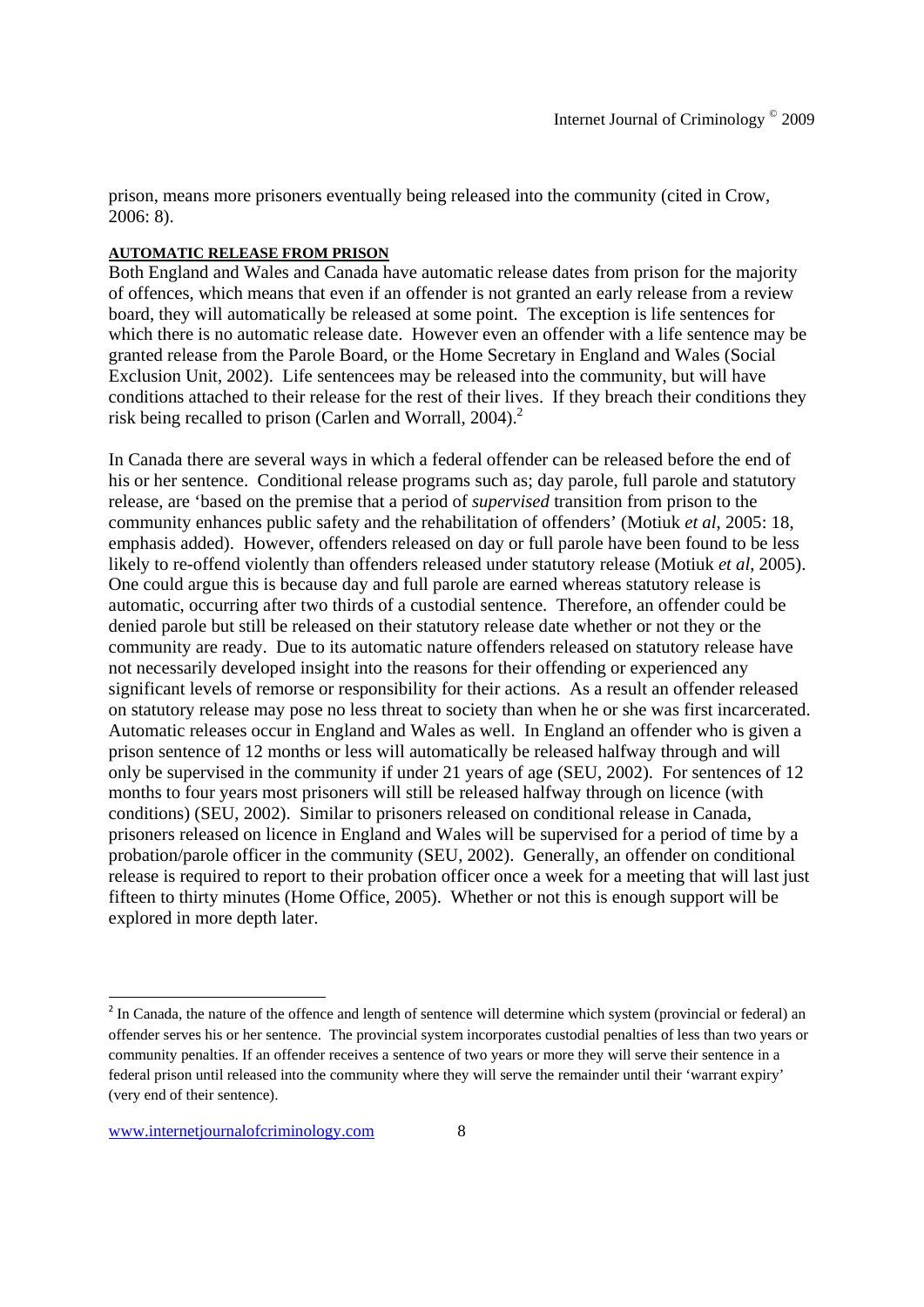prison, means more prisoners eventually being released into the community (cited in Crow, 2006: 8).

# **AUTOMATIC RELEASE FROM PRISON**

Both England and Wales and Canada have automatic release dates from prison for the majority of offences, which means that even if an offender is not granted an early release from a review board, they will automatically be released at some point. The exception is life sentences for which there is no automatic release date. However even an offender with a life sentence may be granted release from the Parole Board, or the Home Secretary in England and Wales (Social Exclusion Unit, 2002). Life sentencees may be released into the community, but will have conditions attached to their release for the rest of their lives. If they breach their conditions they risk being recalled to prison (Carlen and Worrall,  $2004$ ).<sup>2</sup>

In Canada there are several ways in which a federal offender can be released before the end of his or her sentence. Conditional release programs such as; day parole, full parole and statutory release, are 'based on the premise that a period of *supervised* transition from prison to the community enhances public safety and the rehabilitation of offenders' (Motiuk *et al*, 2005: 18, emphasis added). However, offenders released on day or full parole have been found to be less likely to re-offend violently than offenders released under statutory release (Motiuk *et al*, 2005). One could argue this is because day and full parole are earned whereas statutory release is automatic, occurring after two thirds of a custodial sentence. Therefore, an offender could be denied parole but still be released on their statutory release date whether or not they or the community are ready. Due to its automatic nature offenders released on statutory release have not necessarily developed insight into the reasons for their offending or experienced any significant levels of remorse or responsibility for their actions. As a result an offender released on statutory release may pose no less threat to society than when he or she was first incarcerated. Automatic releases occur in England and Wales as well. In England an offender who is given a prison sentence of 12 months or less will automatically be released halfway through and will only be supervised in the community if under 21 years of age (SEU, 2002). For sentences of 12 months to four years most prisoners will still be released halfway through on licence (with conditions) (SEU, 2002). Similar to prisoners released on conditional release in Canada, prisoners released on licence in England and Wales will be supervised for a period of time by a probation/parole officer in the community (SEU, 2002). Generally, an offender on conditional release is required to report to their probation officer once a week for a meeting that will last just fifteen to thirty minutes (Home Office, 2005). Whether or not this is enough support will be explored in more depth later.

<sup>&</sup>lt;sup>2</sup> In Canada, the nature of the offence and length of sentence will determine which system (provincial or federal) an offender serves his or her sentence. The provincial system incorporates custodial penalties of less than two years or community penalties. If an offender receives a sentence of two years or more they will serve their sentence in a federal prison until released into the community where they will serve the remainder until their 'warrant expiry' (very end of their sentence).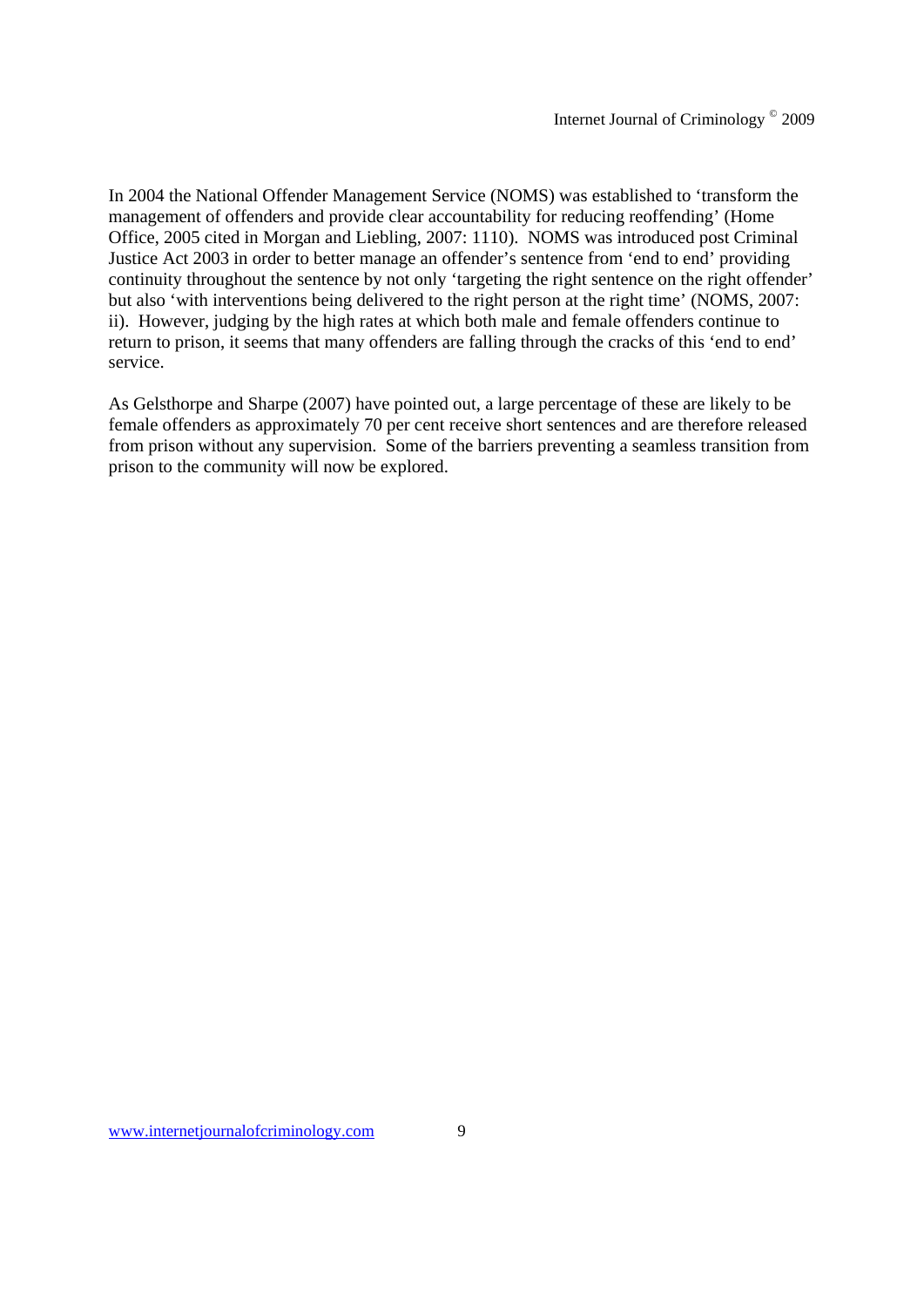In 2004 the National Offender Management Service (NOMS) was established to 'transform the management of offenders and provide clear accountability for reducing reoffending' (Home Office, 2005 cited in Morgan and Liebling, 2007: 1110). NOMS was introduced post Criminal Justice Act 2003 in order to better manage an offender's sentence from 'end to end' providing continuity throughout the sentence by not only 'targeting the right sentence on the right offender' but also 'with interventions being delivered to the right person at the right time' (NOMS, 2007: ii). However, judging by the high rates at which both male and female offenders continue to return to prison, it seems that many offenders are falling through the cracks of this 'end to end' service.

As Gelsthorpe and Sharpe (2007) have pointed out, a large percentage of these are likely to be female offenders as approximately 70 per cent receive short sentences and are therefore released from prison without any supervision. Some of the barriers preventing a seamless transition from prison to the community will now be explored.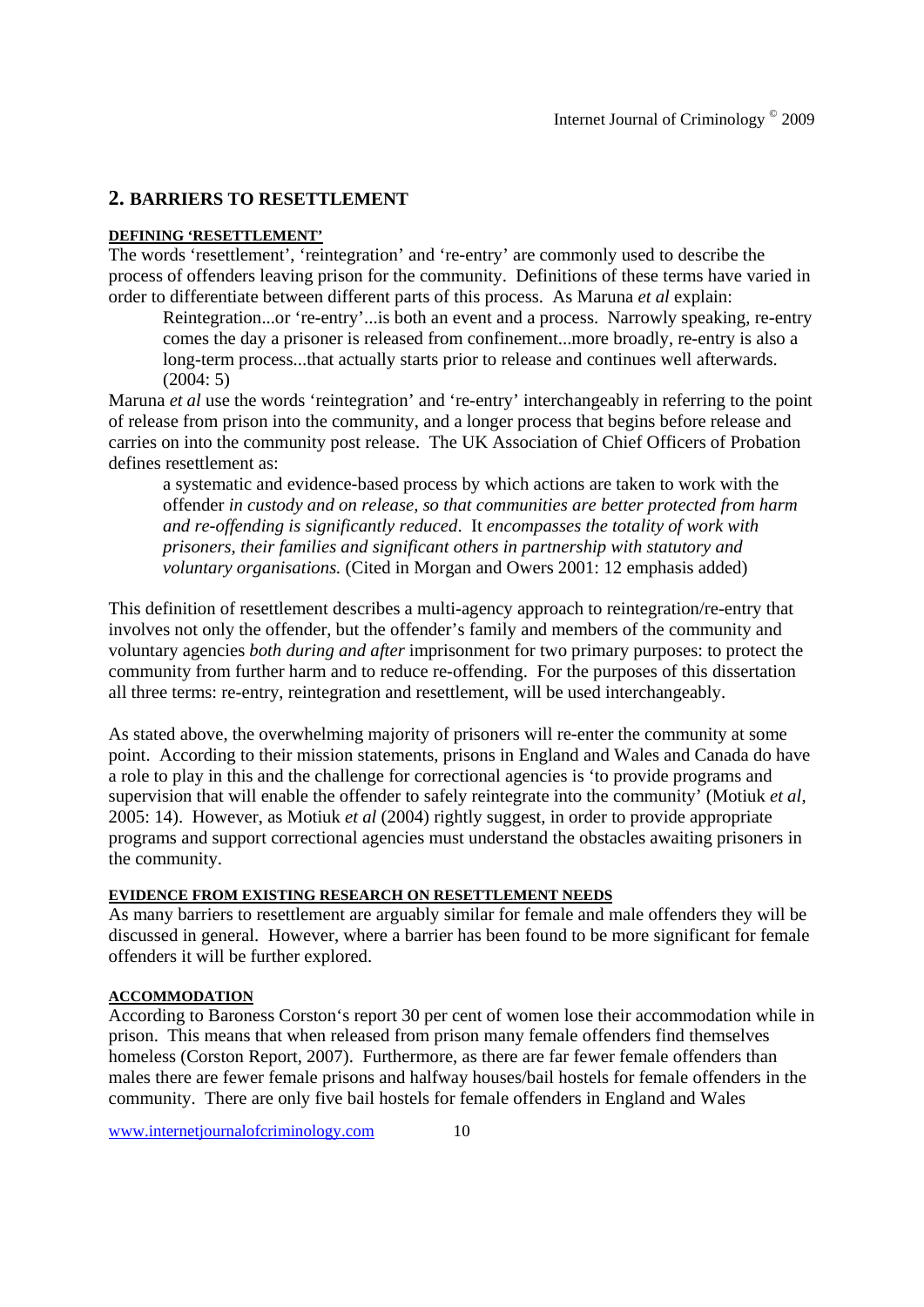# **2. BARRIERS TO RESETTLEMENT**

### **DEFINING 'RESETTLEMENT'**

The words 'resettlement', 'reintegration' and 're-entry' are commonly used to describe the process of offenders leaving prison for the community. Definitions of these terms have varied in order to differentiate between different parts of this process. As Maruna *et al* explain:

Reintegration...or 're-entry'...is both an event and a process. Narrowly speaking, re-entry comes the day a prisoner is released from confinement...more broadly, re-entry is also a long-term process...that actually starts prior to release and continues well afterwards. (2004: 5)

Maruna *et al* use the words 'reintegration' and 're-entry' interchangeably in referring to the point of release from prison into the community, and a longer process that begins before release and carries on into the community post release. The UK Association of Chief Officers of Probation defines resettlement as:

a systematic and evidence-based process by which actions are taken to work with the offender *in custody and on release, so that communities are better protected from harm and re-offending is significantly reduced*. It *encompasses the totality of work with prisoners, their families and significant others in partnership with statutory and voluntary organisations.* (Cited in Morgan and Owers 2001: 12 emphasis added)

This definition of resettlement describes a multi-agency approach to reintegration/re-entry that involves not only the offender, but the offender's family and members of the community and voluntary agencies *both during and after* imprisonment for two primary purposes: to protect the community from further harm and to reduce re-offending. For the purposes of this dissertation all three terms: re-entry, reintegration and resettlement, will be used interchangeably.

As stated above, the overwhelming majority of prisoners will re-enter the community at some point. According to their mission statements, prisons in England and Wales and Canada do have a role to play in this and the challenge for correctional agencies is 'to provide programs and supervision that will enable the offender to safely reintegrate into the community' (Motiuk *et al*, 2005: 14). However, as Motiuk *et al* (2004) rightly suggest, in order to provide appropriate programs and support correctional agencies must understand the obstacles awaiting prisoners in the community.

#### **EVIDENCE FROM EXISTING RESEARCH ON RESETTLEMENT NEEDS**

As many barriers to resettlement are arguably similar for female and male offenders they will be discussed in general. However, where a barrier has been found to be more significant for female offenders it will be further explored.

## **ACCOMMODATION**

According to Baroness Corston's report 30 per cent of women lose their accommodation while in prison. This means that when released from prison many female offenders find themselves homeless (Corston Report, 2007). Furthermore, as there are far fewer female offenders than males there are fewer female prisons and halfway houses/bail hostels for female offenders in the community. There are only five bail hostels for female offenders in England and Wales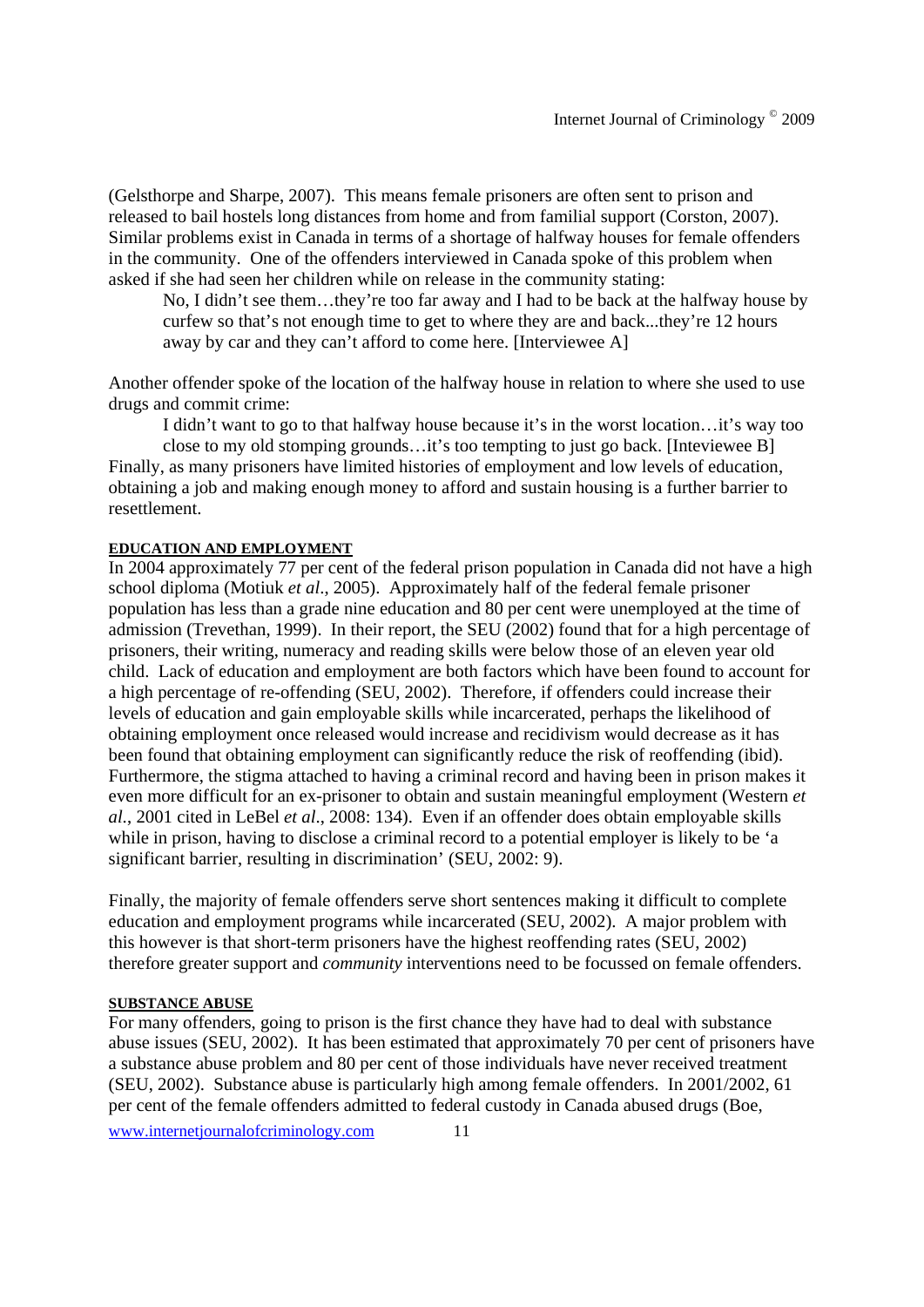(Gelsthorpe and Sharpe, 2007). This means female prisoners are often sent to prison and released to bail hostels long distances from home and from familial support (Corston, 2007). Similar problems exist in Canada in terms of a shortage of halfway houses for female offenders in the community. One of the offenders interviewed in Canada spoke of this problem when asked if she had seen her children while on release in the community stating:

No, I didn't see them…they're too far away and I had to be back at the halfway house by curfew so that's not enough time to get to where they are and back...they're 12 hours away by car and they can't afford to come here. [Interviewee A]

Another offender spoke of the location of the halfway house in relation to where she used to use drugs and commit crime:

I didn't want to go to that halfway house because it's in the worst location…it's way too close to my old stomping grounds…it's too tempting to just go back. [Inteviewee B] Finally, as many prisoners have limited histories of employment and low levels of education, obtaining a job and making enough money to afford and sustain housing is a further barrier to resettlement.

## **EDUCATION AND EMPLOYMENT**

In 2004 approximately 77 per cent of the federal prison population in Canada did not have a high school diploma (Motiuk *et al*., 2005). Approximately half of the federal female prisoner population has less than a grade nine education and 80 per cent were unemployed at the time of admission (Trevethan, 1999). In their report, the SEU (2002) found that for a high percentage of prisoners, their writing, numeracy and reading skills were below those of an eleven year old child. Lack of education and employment are both factors which have been found to account for a high percentage of re-offending (SEU, 2002). Therefore, if offenders could increase their levels of education and gain employable skills while incarcerated, perhaps the likelihood of obtaining employment once released would increase and recidivism would decrease as it has been found that obtaining employment can significantly reduce the risk of reoffending (ibid). Furthermore, the stigma attached to having a criminal record and having been in prison makes it even more difficult for an ex-prisoner to obtain and sustain meaningful employment (Western *et al.*, 2001 cited in LeBel *et al*., 2008: 134). Even if an offender does obtain employable skills while in prison, having to disclose a criminal record to a potential employer is likely to be 'a significant barrier, resulting in discrimination' (SEU, 2002: 9).

Finally, the majority of female offenders serve short sentences making it difficult to complete education and employment programs while incarcerated (SEU, 2002). A major problem with this however is that short-term prisoners have the highest reoffending rates (SEU, 2002) therefore greater support and *community* interventions need to be focussed on female offenders.

#### **SUBSTANCE ABUSE**

For many offenders, going to prison is the first chance they have had to deal with substance abuse issues (SEU, 2002). It has been estimated that approximately 70 per cent of prisoners have a substance abuse problem and 80 per cent of those individuals have never received treatment (SEU, 2002). Substance abuse is particularly high among female offenders. In 2001/2002, 61 per cent of the female offenders admitted to federal custody in Canada abused drugs (Boe,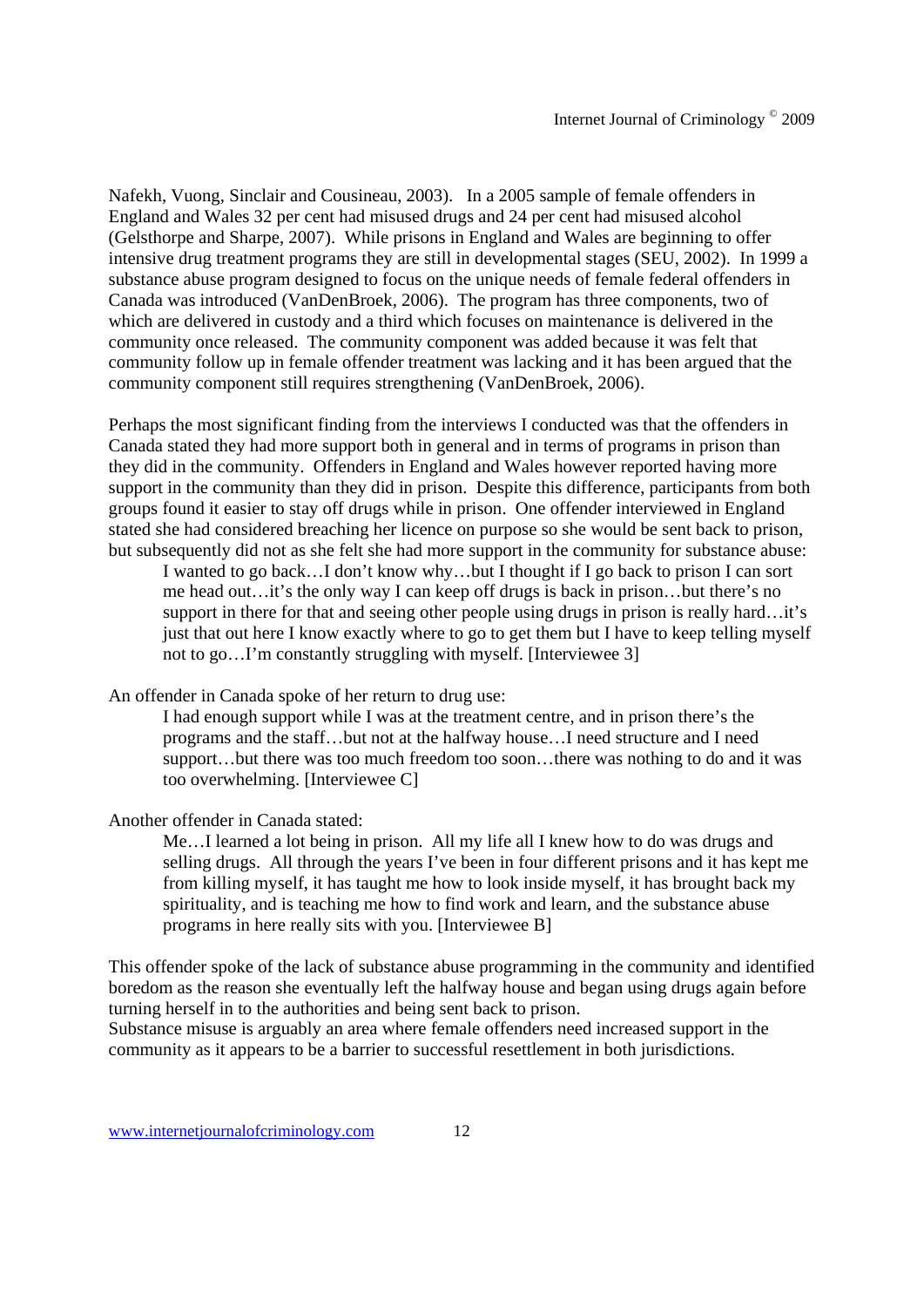Nafekh, Vuong, Sinclair and Cousineau, 2003). In a 2005 sample of female offenders in England and Wales 32 per cent had misused drugs and 24 per cent had misused alcohol (Gelsthorpe and Sharpe, 2007). While prisons in England and Wales are beginning to offer intensive drug treatment programs they are still in developmental stages (SEU, 2002). In 1999 a substance abuse program designed to focus on the unique needs of female federal offenders in Canada was introduced (VanDenBroek, 2006). The program has three components, two of which are delivered in custody and a third which focuses on maintenance is delivered in the community once released. The community component was added because it was felt that community follow up in female offender treatment was lacking and it has been argued that the community component still requires strengthening (VanDenBroek, 2006).

Perhaps the most significant finding from the interviews I conducted was that the offenders in Canada stated they had more support both in general and in terms of programs in prison than they did in the community. Offenders in England and Wales however reported having more support in the community than they did in prison. Despite this difference, participants from both groups found it easier to stay off drugs while in prison. One offender interviewed in England stated she had considered breaching her licence on purpose so she would be sent back to prison, but subsequently did not as she felt she had more support in the community for substance abuse:

I wanted to go back…I don't know why…but I thought if I go back to prison I can sort me head out…it's the only way I can keep off drugs is back in prison…but there's no support in there for that and seeing other people using drugs in prison is really hard…it's just that out here I know exactly where to go to get them but I have to keep telling myself not to go…I'm constantly struggling with myself. [Interviewee 3]

## An offender in Canada spoke of her return to drug use:

I had enough support while I was at the treatment centre, and in prison there's the programs and the staff…but not at the halfway house…I need structure and I need support…but there was too much freedom too soon…there was nothing to do and it was too overwhelming. [Interviewee C]

# Another offender in Canada stated:

Me…I learned a lot being in prison. All my life all I knew how to do was drugs and selling drugs. All through the years I've been in four different prisons and it has kept me from killing myself, it has taught me how to look inside myself, it has brought back my spirituality, and is teaching me how to find work and learn, and the substance abuse programs in here really sits with you. [Interviewee B]

This offender spoke of the lack of substance abuse programming in the community and identified boredom as the reason she eventually left the halfway house and began using drugs again before turning herself in to the authorities and being sent back to prison.

Substance misuse is arguably an area where female offenders need increased support in the community as it appears to be a barrier to successful resettlement in both jurisdictions.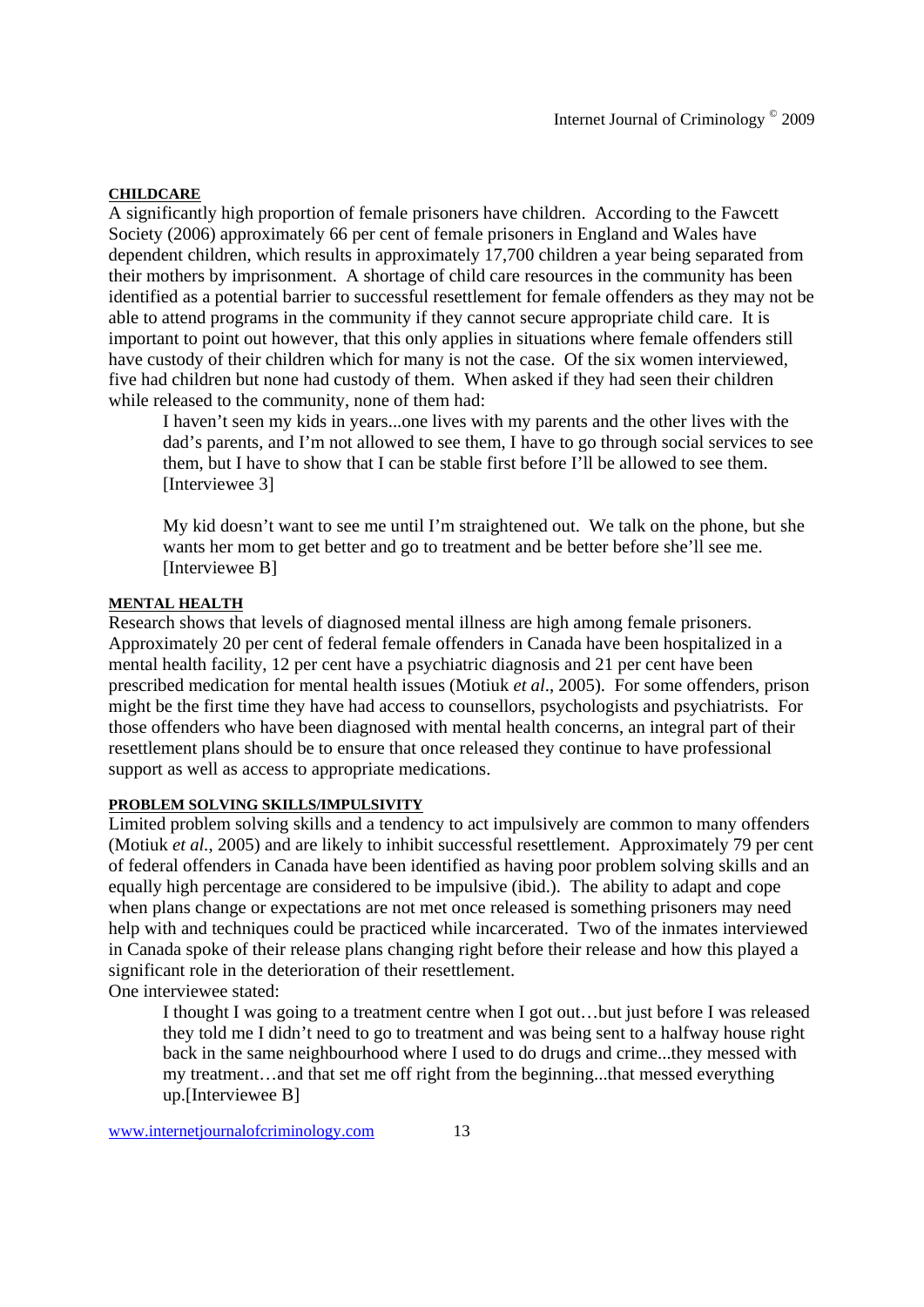## **CHILDCARE**

A significantly high proportion of female prisoners have children. According to the Fawcett Society (2006) approximately 66 per cent of female prisoners in England and Wales have dependent children, which results in approximately 17,700 children a year being separated from their mothers by imprisonment. A shortage of child care resources in the community has been identified as a potential barrier to successful resettlement for female offenders as they may not be able to attend programs in the community if they cannot secure appropriate child care. It is important to point out however, that this only applies in situations where female offenders still have custody of their children which for many is not the case. Of the six women interviewed, five had children but none had custody of them. When asked if they had seen their children while released to the community, none of them had:

I haven't seen my kids in years...one lives with my parents and the other lives with the dad's parents, and I'm not allowed to see them, I have to go through social services to see them, but I have to show that I can be stable first before I'll be allowed to see them. [Interviewee 3]

My kid doesn't want to see me until I'm straightened out. We talk on the phone, but she wants her mom to get better and go to treatment and be better before she'll see me. [Interviewee B]

## **MENTAL HEALTH**

Research shows that levels of diagnosed mental illness are high among female prisoners. Approximately 20 per cent of federal female offenders in Canada have been hospitalized in a mental health facility, 12 per cent have a psychiatric diagnosis and 21 per cent have been prescribed medication for mental health issues (Motiuk *et al*., 2005). For some offenders, prison might be the first time they have had access to counsellors, psychologists and psychiatrists. For those offenders who have been diagnosed with mental health concerns, an integral part of their resettlement plans should be to ensure that once released they continue to have professional support as well as access to appropriate medications.

#### **PROBLEM SOLVING SKILLS/IMPULSIVITY**

Limited problem solving skills and a tendency to act impulsively are common to many offenders (Motiuk *et al.*, 2005) and are likely to inhibit successful resettlement. Approximately 79 per cent of federal offenders in Canada have been identified as having poor problem solving skills and an equally high percentage are considered to be impulsive (ibid.). The ability to adapt and cope when plans change or expectations are not met once released is something prisoners may need help with and techniques could be practiced while incarcerated. Two of the inmates interviewed in Canada spoke of their release plans changing right before their release and how this played a significant role in the deterioration of their resettlement.

One interviewee stated:

I thought I was going to a treatment centre when I got out…but just before I was released they told me I didn't need to go to treatment and was being sent to a halfway house right back in the same neighbourhood where I used to do drugs and crime...they messed with my treatment…and that set me off right from the beginning...that messed everything up.[Interviewee B]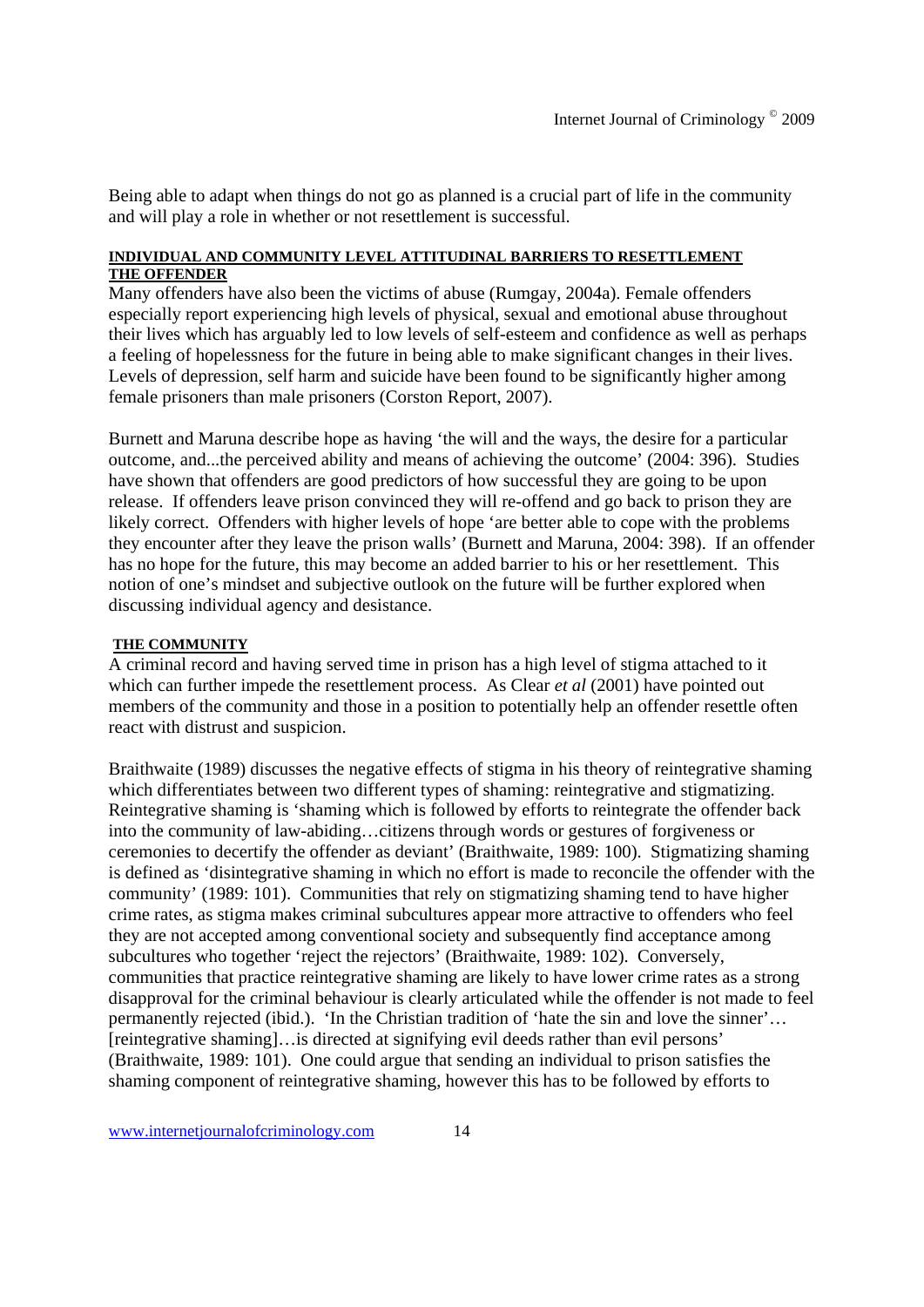Being able to adapt when things do not go as planned is a crucial part of life in the community and will play a role in whether or not resettlement is successful.

## **INDIVIDUAL AND COMMUNITY LEVEL ATTITUDINAL BARRIERS TO RESETTLEMENT THE OFFENDER**

Many offenders have also been the victims of abuse (Rumgay, 2004a). Female offenders especially report experiencing high levels of physical, sexual and emotional abuse throughout their lives which has arguably led to low levels of self-esteem and confidence as well as perhaps a feeling of hopelessness for the future in being able to make significant changes in their lives. Levels of depression, self harm and suicide have been found to be significantly higher among female prisoners than male prisoners (Corston Report, 2007).

Burnett and Maruna describe hope as having 'the will and the ways, the desire for a particular outcome, and...the perceived ability and means of achieving the outcome' (2004: 396). Studies have shown that offenders are good predictors of how successful they are going to be upon release. If offenders leave prison convinced they will re-offend and go back to prison they are likely correct. Offenders with higher levels of hope 'are better able to cope with the problems they encounter after they leave the prison walls' (Burnett and Maruna, 2004: 398). If an offender has no hope for the future, this may become an added barrier to his or her resettlement. This notion of one's mindset and subjective outlook on the future will be further explored when discussing individual agency and desistance.

## **THE COMMUNITY**

A criminal record and having served time in prison has a high level of stigma attached to it which can further impede the resettlement process. As Clear *et al* (2001) have pointed out members of the community and those in a position to potentially help an offender resettle often react with distrust and suspicion.

Braithwaite (1989) discusses the negative effects of stigma in his theory of reintegrative shaming which differentiates between two different types of shaming: reintegrative and stigmatizing. Reintegrative shaming is 'shaming which is followed by efforts to reintegrate the offender back into the community of law-abiding…citizens through words or gestures of forgiveness or ceremonies to decertify the offender as deviant' (Braithwaite, 1989: 100). Stigmatizing shaming is defined as 'disintegrative shaming in which no effort is made to reconcile the offender with the community' (1989: 101). Communities that rely on stigmatizing shaming tend to have higher crime rates, as stigma makes criminal subcultures appear more attractive to offenders who feel they are not accepted among conventional society and subsequently find acceptance among subcultures who together 'reject the rejectors' (Braithwaite, 1989: 102). Conversely, communities that practice reintegrative shaming are likely to have lower crime rates as a strong disapproval for the criminal behaviour is clearly articulated while the offender is not made to feel permanently rejected (ibid.). 'In the Christian tradition of 'hate the sin and love the sinner'… [reintegrative shaming]…is directed at signifying evil deeds rather than evil persons' (Braithwaite, 1989: 101). One could argue that sending an individual to prison satisfies the shaming component of reintegrative shaming, however this has to be followed by efforts to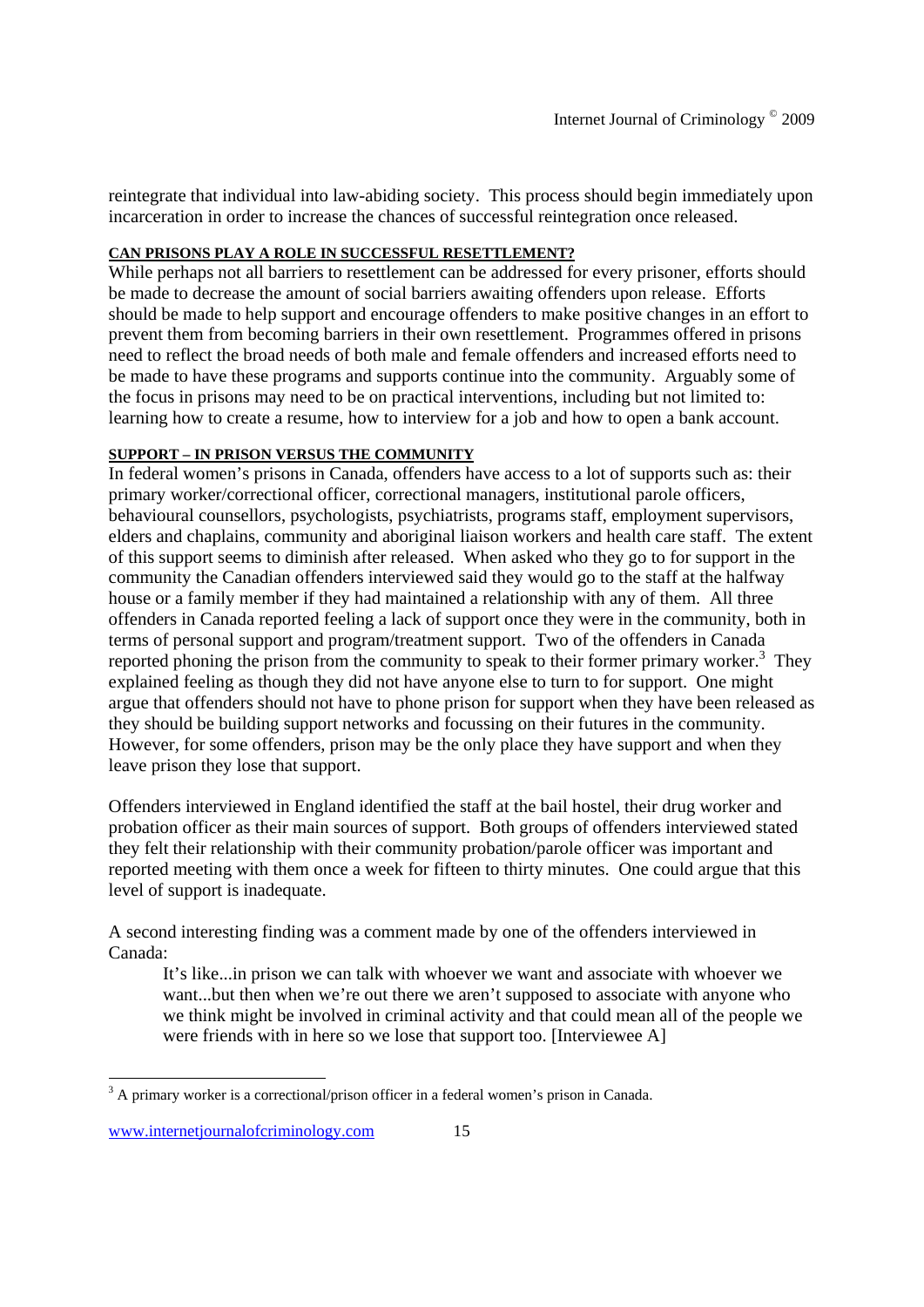reintegrate that individual into law-abiding society. This process should begin immediately upon incarceration in order to increase the chances of successful reintegration once released.

## **CAN PRISONS PLAY A ROLE IN SUCCESSFUL RESETTLEMENT?**

While perhaps not all barriers to resettlement can be addressed for every prisoner, efforts should be made to decrease the amount of social barriers awaiting offenders upon release. Efforts should be made to help support and encourage offenders to make positive changes in an effort to prevent them from becoming barriers in their own resettlement. Programmes offered in prisons need to reflect the broad needs of both male and female offenders and increased efforts need to be made to have these programs and supports continue into the community. Arguably some of the focus in prisons may need to be on practical interventions, including but not limited to: learning how to create a resume, how to interview for a job and how to open a bank account.

## **SUPPORT – IN PRISON VERSUS THE COMMUNITY**

In federal women's prisons in Canada, offenders have access to a lot of supports such as: their primary worker/correctional officer, correctional managers, institutional parole officers, behavioural counsellors, psychologists, psychiatrists, programs staff, employment supervisors, elders and chaplains, community and aboriginal liaison workers and health care staff. The extent of this support seems to diminish after released. When asked who they go to for support in the community the Canadian offenders interviewed said they would go to the staff at the halfway house or a family member if they had maintained a relationship with any of them. All three offenders in Canada reported feeling a lack of support once they were in the community, both in terms of personal support and program/treatment support. Two of the offenders in Canada reported phoning the prison from the community to speak to their former primary worker.<sup>3</sup> They explained feeling as though they did not have anyone else to turn to for support. One might argue that offenders should not have to phone prison for support when they have been released as they should be building support networks and focussing on their futures in the community. However, for some offenders, prison may be the only place they have support and when they leave prison they lose that support.

Offenders interviewed in England identified the staff at the bail hostel, their drug worker and probation officer as their main sources of support. Both groups of offenders interviewed stated they felt their relationship with their community probation/parole officer was important and reported meeting with them once a week for fifteen to thirty minutes. One could argue that this level of support is inadequate.

A second interesting finding was a comment made by one of the offenders interviewed in Canada:

It's like...in prison we can talk with whoever we want and associate with whoever we want...but then when we're out there we aren't supposed to associate with anyone who we think might be involved in criminal activity and that could mean all of the people we were friends with in here so we lose that support too. [Interviewee A]

<sup>&</sup>lt;sup>3</sup> A primary worker is a correctional/prison officer in a federal women's prison in Canada.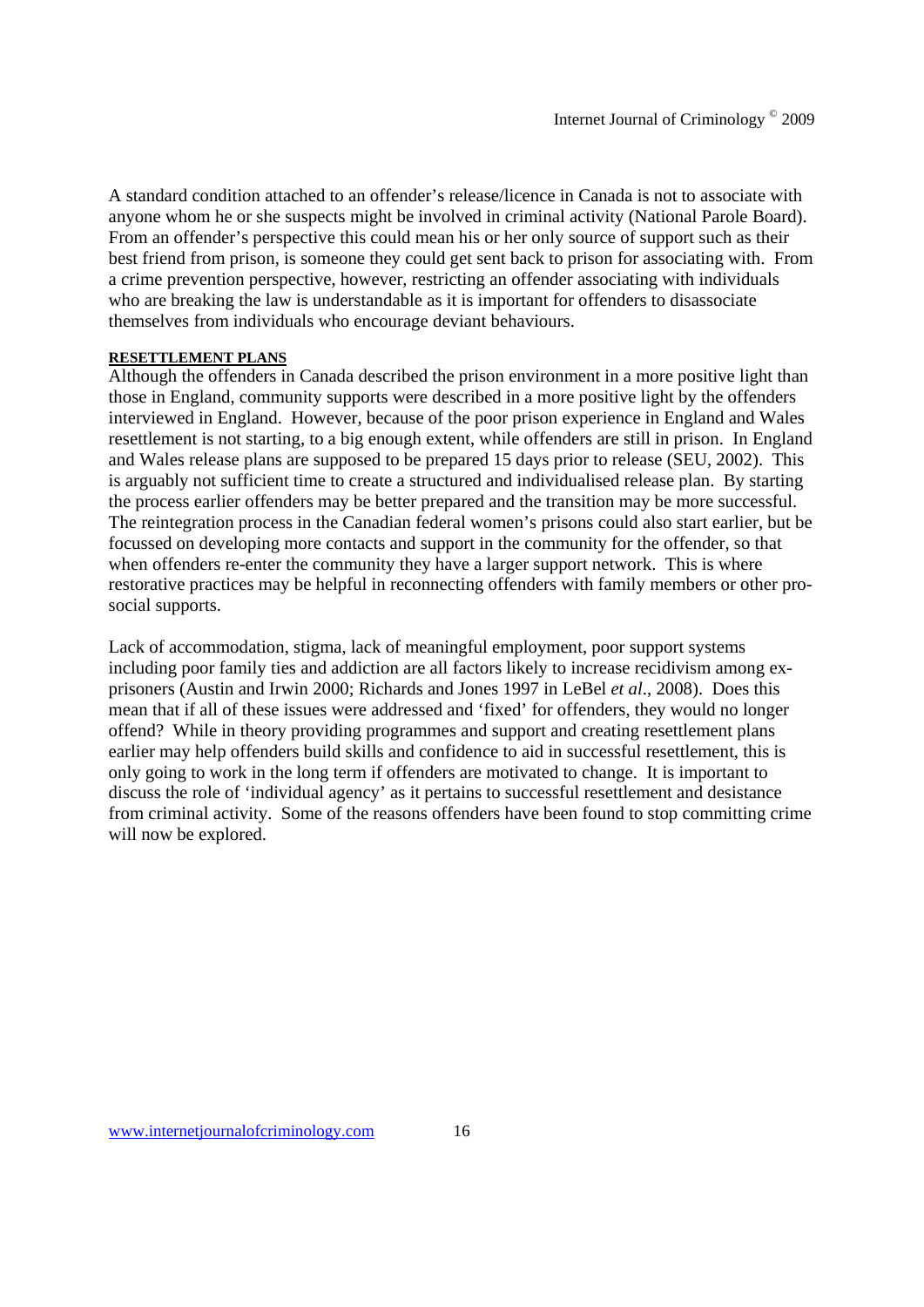A standard condition attached to an offender's release/licence in Canada is not to associate with anyone whom he or she suspects might be involved in criminal activity (National Parole Board). From an offender's perspective this could mean his or her only source of support such as their best friend from prison, is someone they could get sent back to prison for associating with. From a crime prevention perspective, however, restricting an offender associating with individuals who are breaking the law is understandable as it is important for offenders to disassociate themselves from individuals who encourage deviant behaviours.

## **RESETTLEMENT PLANS**

Although the offenders in Canada described the prison environment in a more positive light than those in England, community supports were described in a more positive light by the offenders interviewed in England. However, because of the poor prison experience in England and Wales resettlement is not starting, to a big enough extent, while offenders are still in prison. In England and Wales release plans are supposed to be prepared 15 days prior to release (SEU, 2002). This is arguably not sufficient time to create a structured and individualised release plan. By starting the process earlier offenders may be better prepared and the transition may be more successful. The reintegration process in the Canadian federal women's prisons could also start earlier, but be focussed on developing more contacts and support in the community for the offender, so that when offenders re-enter the community they have a larger support network. This is where restorative practices may be helpful in reconnecting offenders with family members or other prosocial supports.

Lack of accommodation, stigma, lack of meaningful employment, poor support systems including poor family ties and addiction are all factors likely to increase recidivism among exprisoners (Austin and Irwin 2000; Richards and Jones 1997 in LeBel *et al*., 2008). Does this mean that if all of these issues were addressed and 'fixed' for offenders, they would no longer offend? While in theory providing programmes and support and creating resettlement plans earlier may help offenders build skills and confidence to aid in successful resettlement, this is only going to work in the long term if offenders are motivated to change. It is important to discuss the role of 'individual agency' as it pertains to successful resettlement and desistance from criminal activity. Some of the reasons offenders have been found to stop committing crime will now be explored.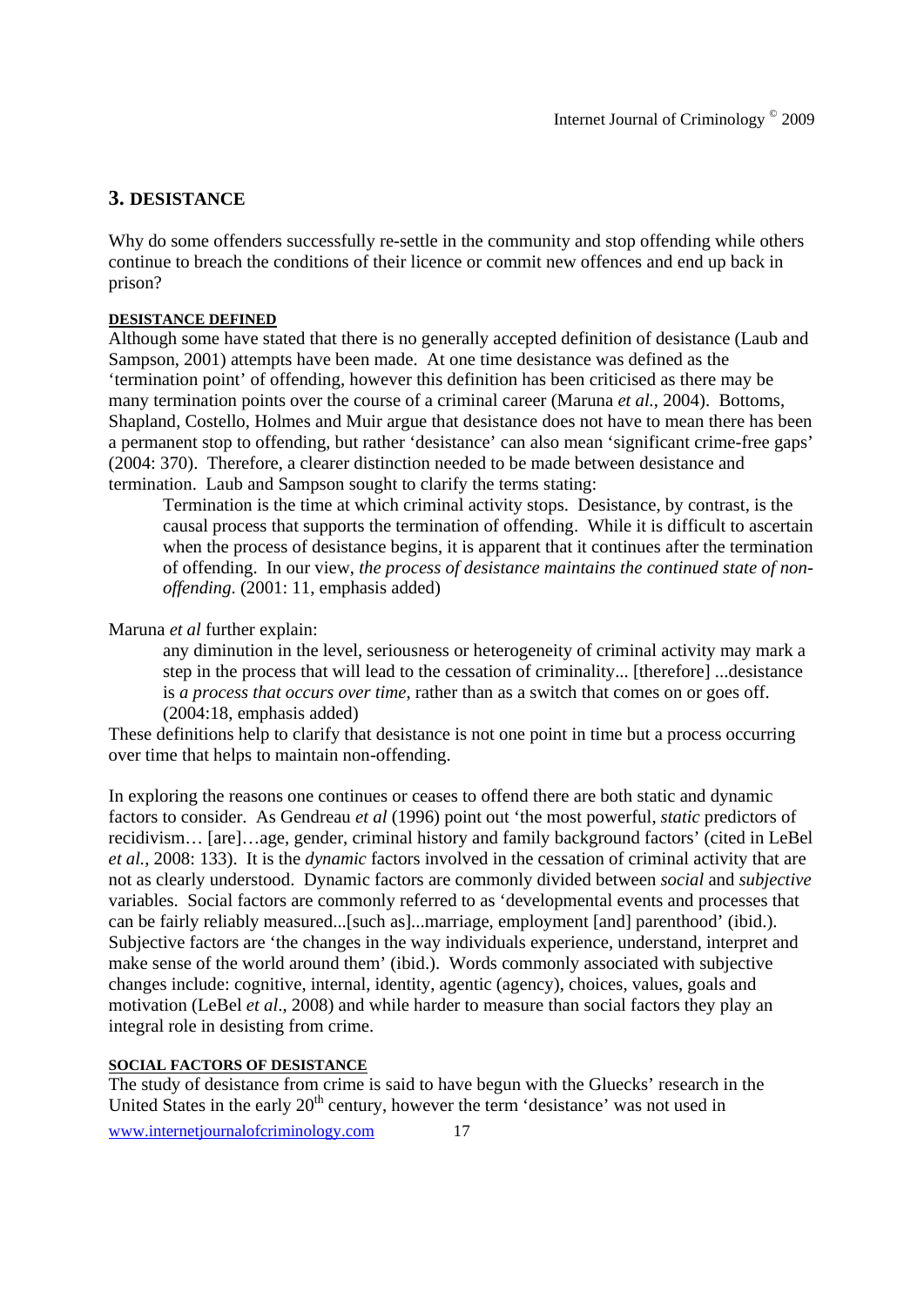# **3. DESISTANCE**

Why do some offenders successfully re-settle in the community and stop offending while others continue to breach the conditions of their licence or commit new offences and end up back in prison?

# **DESISTANCE DEFINED**

Although some have stated that there is no generally accepted definition of desistance (Laub and Sampson, 2001) attempts have been made. At one time desistance was defined as the 'termination point' of offending, however this definition has been criticised as there may be many termination points over the course of a criminal career (Maruna *et al.*, 2004). Bottoms, Shapland, Costello, Holmes and Muir argue that desistance does not have to mean there has been a permanent stop to offending, but rather 'desistance' can also mean 'significant crime-free gaps' (2004: 370). Therefore, a clearer distinction needed to be made between desistance and termination. Laub and Sampson sought to clarify the terms stating:

Termination is the time at which criminal activity stops. Desistance, by contrast, is the causal process that supports the termination of offending. While it is difficult to ascertain when the process of desistance begins, it is apparent that it continues after the termination of offending. In our view, *the process of desistance maintains the continued state of nonoffending*. (2001: 11, emphasis added)

Maruna *et al* further explain:

any diminution in the level, seriousness or heterogeneity of criminal activity may mark a step in the process that will lead to the cessation of criminality... [therefore] ...desistance is *a process that occurs over time*, rather than as a switch that comes on or goes off. (2004:18, emphasis added)

These definitions help to clarify that desistance is not one point in time but a process occurring over time that helps to maintain non-offending.

In exploring the reasons one continues or ceases to offend there are both static and dynamic factors to consider. As Gendreau *et al* (1996) point out 'the most powerful, *static* predictors of recidivism… [are]…age, gender, criminal history and family background factors' (cited in LeBel *et al.*, 2008: 133). It is the *dynamic* factors involved in the cessation of criminal activity that are not as clearly understood. Dynamic factors are commonly divided between *social* and *subjective* variables. Social factors are commonly referred to as 'developmental events and processes that can be fairly reliably measured...[such as]...marriage, employment [and] parenthood' (ibid.). Subjective factors are 'the changes in the way individuals experience, understand, interpret and make sense of the world around them' (ibid.). Words commonly associated with subjective changes include: cognitive, internal, identity, agentic (agency), choices, values, goals and motivation (LeBel *et al*., 2008) and while harder to measure than social factors they play an integral role in desisting from crime.

# **SOCIAL FACTORS OF DESISTANCE**

www.internetjournalofcriminology.com 17 The study of desistance from crime is said to have begun with the Gluecks' research in the United States in the early  $20<sup>th</sup>$  century, however the term 'desistance' was not used in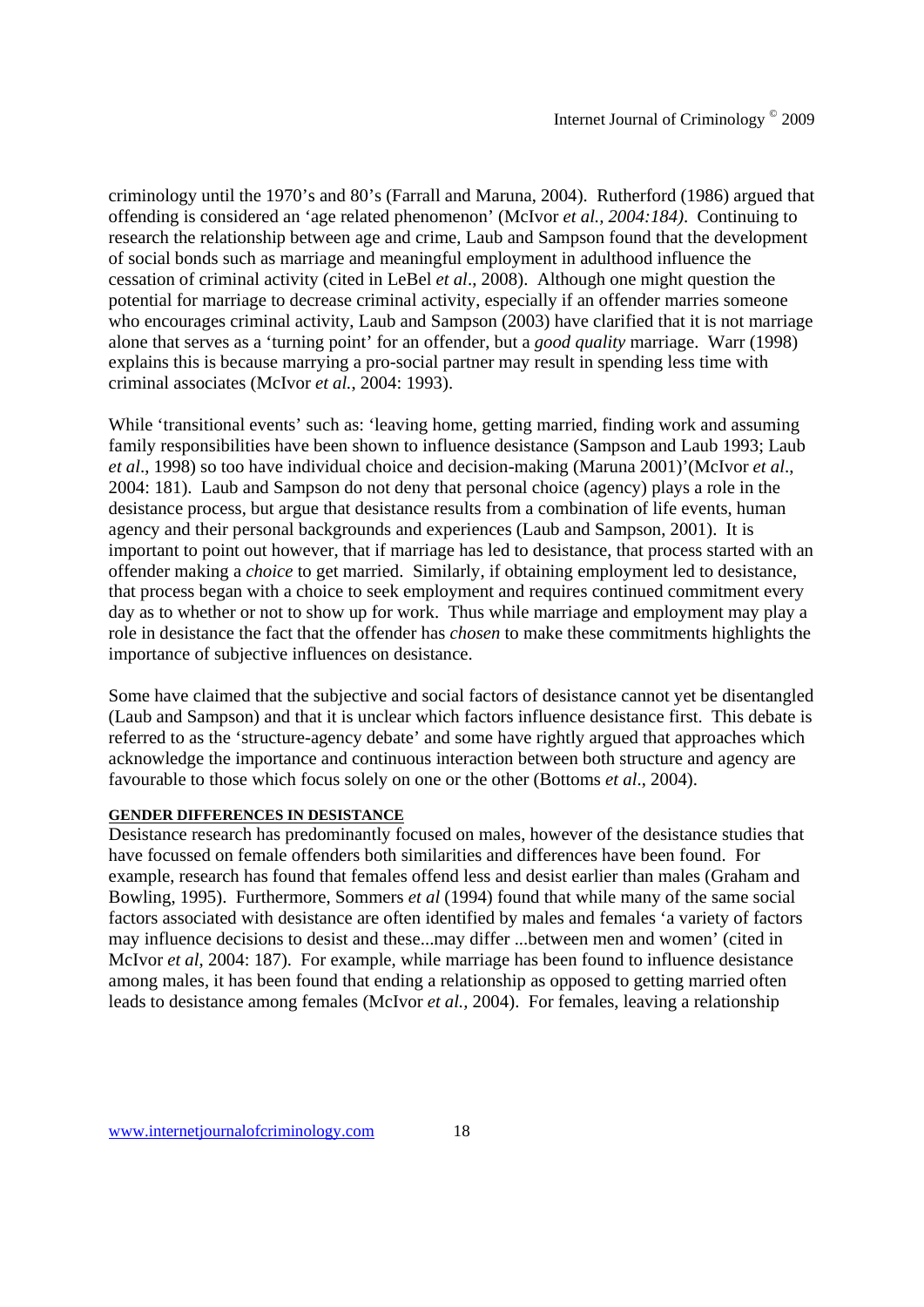criminology until the 1970's and 80's (Farrall and Maruna, 2004). Rutherford (1986) argued that offending is considered an 'age related phenomenon' (McIvor *et al., 2004:184)*. Continuing to research the relationship between age and crime, Laub and Sampson found that the development of social bonds such as marriage and meaningful employment in adulthood influence the cessation of criminal activity (cited in LeBel *et al*., 2008). Although one might question the potential for marriage to decrease criminal activity, especially if an offender marries someone who encourages criminal activity, Laub and Sampson (2003) have clarified that it is not marriage alone that serves as a 'turning point' for an offender, but a *good quality* marriage. Warr (1998) explains this is because marrying a pro-social partner may result in spending less time with criminal associates (McIvor *et al.*, 2004: 1993).

While 'transitional events' such as: 'leaving home, getting married, finding work and assuming family responsibilities have been shown to influence desistance (Sampson and Laub 1993; Laub *et al*., 1998) so too have individual choice and decision-making (Maruna 2001)'(McIvor *et al*., 2004: 181). Laub and Sampson do not deny that personal choice (agency) plays a role in the desistance process, but argue that desistance results from a combination of life events, human agency and their personal backgrounds and experiences (Laub and Sampson, 2001). It is important to point out however, that if marriage has led to desistance, that process started with an offender making a *choice* to get married. Similarly, if obtaining employment led to desistance, that process began with a choice to seek employment and requires continued commitment every day as to whether or not to show up for work. Thus while marriage and employment may play a role in desistance the fact that the offender has *chosen* to make these commitments highlights the importance of subjective influences on desistance.

Some have claimed that the subjective and social factors of desistance cannot yet be disentangled (Laub and Sampson) and that it is unclear which factors influence desistance first. This debate is referred to as the 'structure-agency debate' and some have rightly argued that approaches which acknowledge the importance and continuous interaction between both structure and agency are favourable to those which focus solely on one or the other (Bottoms *et al*., 2004).

## **GENDER DIFFERENCES IN DESISTANCE**

Desistance research has predominantly focused on males, however of the desistance studies that have focussed on female offenders both similarities and differences have been found. For example, research has found that females offend less and desist earlier than males (Graham and Bowling, 1995). Furthermore, Sommers *et al* (1994) found that while many of the same social factors associated with desistance are often identified by males and females 'a variety of factors may influence decisions to desist and these...may differ ...between men and women' (cited in McIvor *et al*, 2004: 187). For example, while marriage has been found to influence desistance among males, it has been found that ending a relationship as opposed to getting married often leads to desistance among females (McIvor *et al.,* 2004). For females, leaving a relationship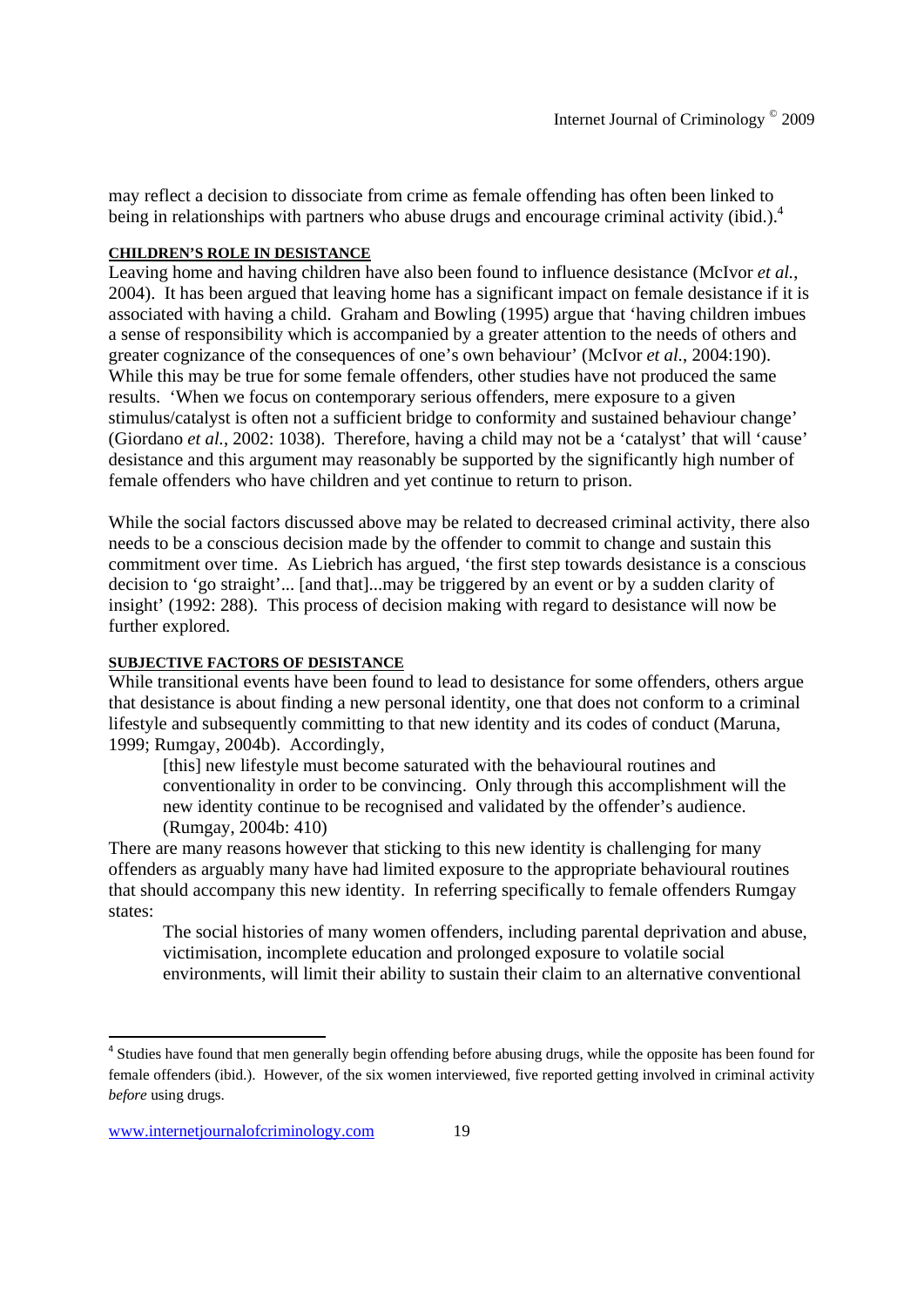may reflect a decision to dissociate from crime as female offending has often been linked to being in relationships with partners who abuse drugs and encourage criminal activity (ibid.).<sup>4</sup>

## **CHILDREN'S ROLE IN DESISTANCE**

Leaving home and having children have also been found to influence desistance (McIvor *et al.*, 2004). It has been argued that leaving home has a significant impact on female desistance if it is associated with having a child. Graham and Bowling (1995) argue that 'having children imbues a sense of responsibility which is accompanied by a greater attention to the needs of others and greater cognizance of the consequences of one's own behaviour' (McIvor *et al.*, 2004:190). While this may be true for some female offenders, other studies have not produced the same results. 'When we focus on contemporary serious offenders, mere exposure to a given stimulus/catalyst is often not a sufficient bridge to conformity and sustained behaviour change' (Giordano *et al.*, 2002: 1038). Therefore, having a child may not be a 'catalyst' that will 'cause' desistance and this argument may reasonably be supported by the significantly high number of female offenders who have children and yet continue to return to prison.

While the social factors discussed above may be related to decreased criminal activity, there also needs to be a conscious decision made by the offender to commit to change and sustain this commitment over time. As Liebrich has argued, 'the first step towards desistance is a conscious decision to 'go straight'... [and that]...may be triggered by an event or by a sudden clarity of insight' (1992: 288). This process of decision making with regard to desistance will now be further explored.

# **SUBJECTIVE FACTORS OF DESISTANCE**

While transitional events have been found to lead to desistance for some offenders, others argue that desistance is about finding a new personal identity, one that does not conform to a criminal lifestyle and subsequently committing to that new identity and its codes of conduct (Maruna, 1999; Rumgay, 2004b). Accordingly,

[this] new lifestyle must become saturated with the behavioural routines and conventionality in order to be convincing. Only through this accomplishment will the new identity continue to be recognised and validated by the offender's audience. (Rumgay, 2004b: 410)

There are many reasons however that sticking to this new identity is challenging for many offenders as arguably many have had limited exposure to the appropriate behavioural routines that should accompany this new identity. In referring specifically to female offenders Rumgay states:

The social histories of many women offenders, including parental deprivation and abuse, victimisation, incomplete education and prolonged exposure to volatile social environments, will limit their ability to sustain their claim to an alternative conventional

<u> Andrew Maria (1989)</u>

<sup>4</sup> Studies have found that men generally begin offending before abusing drugs, while the opposite has been found for female offenders (ibid.). However, of the six women interviewed, five reported getting involved in criminal activity *before* using drugs.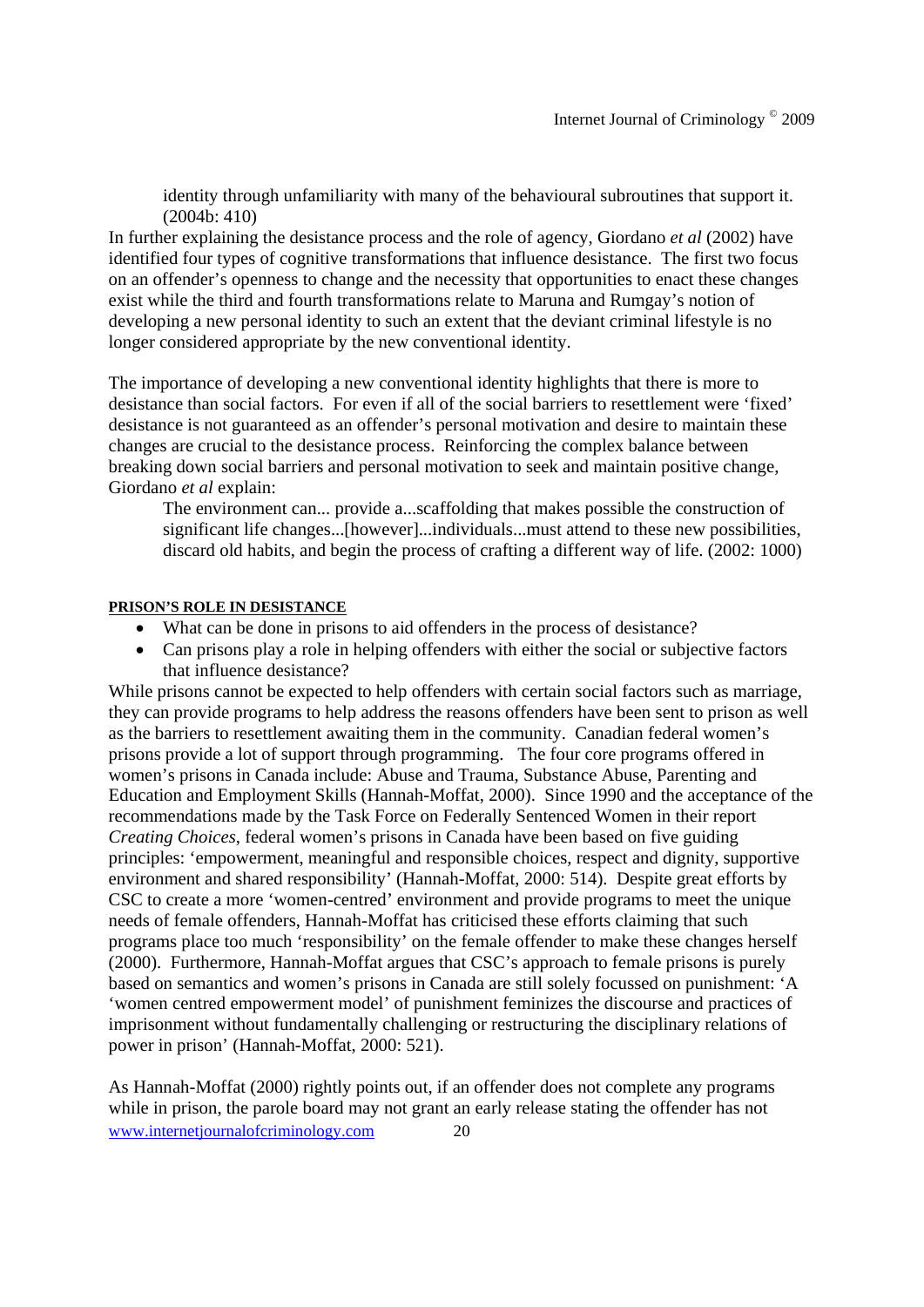identity through unfamiliarity with many of the behavioural subroutines that support it. (2004b: 410)

In further explaining the desistance process and the role of agency, Giordano *et al* (2002) have identified four types of cognitive transformations that influence desistance. The first two focus on an offender's openness to change and the necessity that opportunities to enact these changes exist while the third and fourth transformations relate to Maruna and Rumgay's notion of developing a new personal identity to such an extent that the deviant criminal lifestyle is no longer considered appropriate by the new conventional identity.

The importance of developing a new conventional identity highlights that there is more to desistance than social factors. For even if all of the social barriers to resettlement were 'fixed' desistance is not guaranteed as an offender's personal motivation and desire to maintain these changes are crucial to the desistance process. Reinforcing the complex balance between breaking down social barriers and personal motivation to seek and maintain positive change, Giordano *et al* explain:

The environment can... provide a...scaffolding that makes possible the construction of significant life changes...[however]...individuals...must attend to these new possibilities, discard old habits, and begin the process of crafting a different way of life. (2002: 1000)

## **PRISON'S ROLE IN DESISTANCE**

- What can be done in prisons to aid offenders in the process of desistance?
- Can prisons play a role in helping offenders with either the social or subjective factors that influence desistance?

While prisons cannot be expected to help offenders with certain social factors such as marriage, they can provide programs to help address the reasons offenders have been sent to prison as well as the barriers to resettlement awaiting them in the community. Canadian federal women's prisons provide a lot of support through programming. The four core programs offered in women's prisons in Canada include: Abuse and Trauma, Substance Abuse, Parenting and Education and Employment Skills (Hannah-Moffat, 2000). Since 1990 and the acceptance of the recommendations made by the Task Force on Federally Sentenced Women in their report *Creating Choices*, federal women's prisons in Canada have been based on five guiding principles: 'empowerment, meaningful and responsible choices, respect and dignity, supportive environment and shared responsibility' (Hannah-Moffat, 2000: 514). Despite great efforts by CSC to create a more 'women-centred' environment and provide programs to meet the unique needs of female offenders, Hannah-Moffat has criticised these efforts claiming that such programs place too much 'responsibility' on the female offender to make these changes herself (2000). Furthermore, Hannah-Moffat argues that CSC's approach to female prisons is purely based on semantics and women's prisons in Canada are still solely focussed on punishment: 'A 'women centred empowerment model' of punishment feminizes the discourse and practices of imprisonment without fundamentally challenging or restructuring the disciplinary relations of power in prison' (Hannah-Moffat, 2000: 521).

www.internetiournalofcriminology.com 20 As Hannah-Moffat (2000) rightly points out, if an offender does not complete any programs while in prison, the parole board may not grant an early release stating the offender has not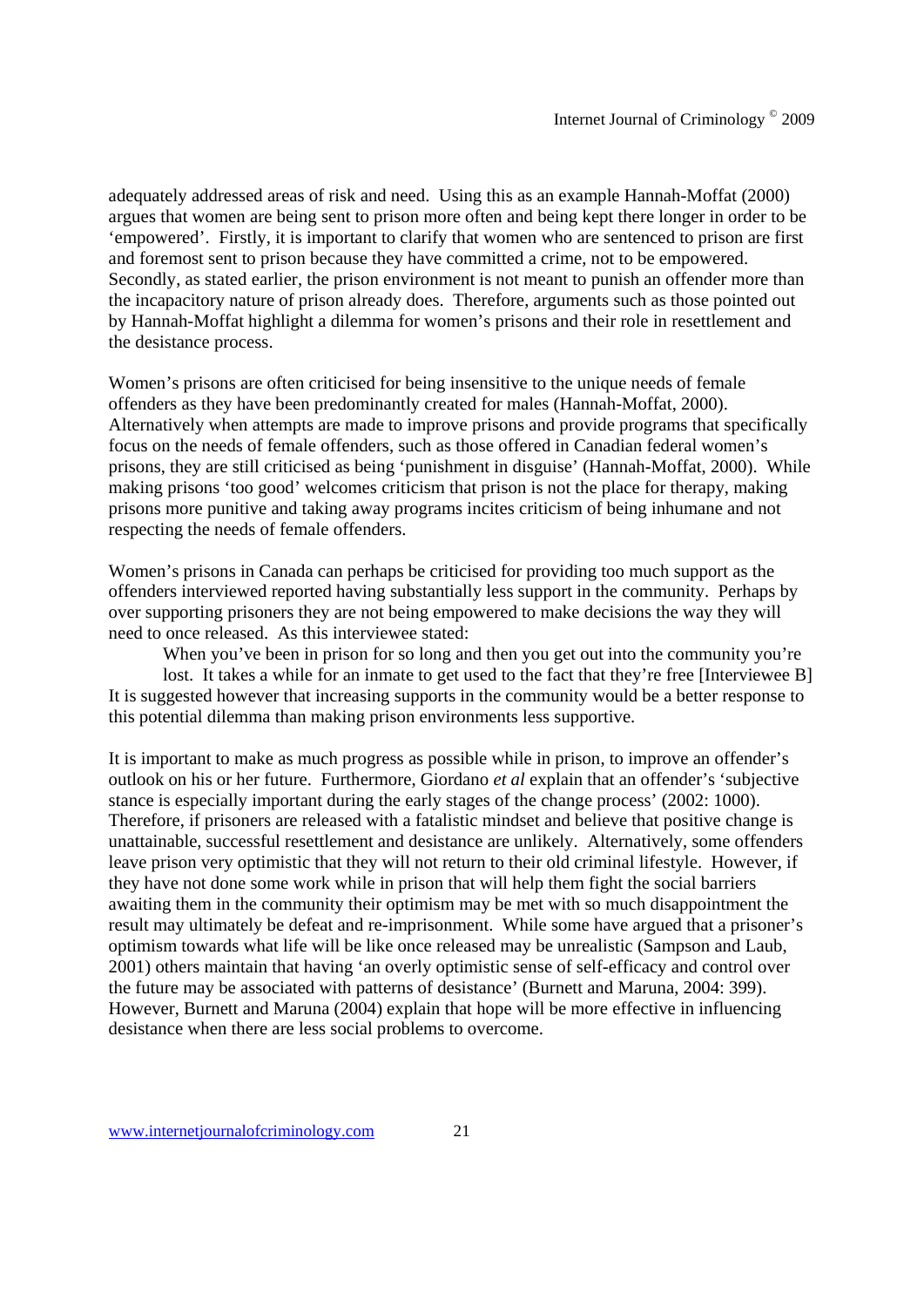adequately addressed areas of risk and need. Using this as an example Hannah-Moffat (2000) argues that women are being sent to prison more often and being kept there longer in order to be 'empowered'. Firstly, it is important to clarify that women who are sentenced to prison are first and foremost sent to prison because they have committed a crime, not to be empowered. Secondly, as stated earlier, the prison environment is not meant to punish an offender more than the incapacitory nature of prison already does. Therefore, arguments such as those pointed out by Hannah-Moffat highlight a dilemma for women's prisons and their role in resettlement and the desistance process.

Women's prisons are often criticised for being insensitive to the unique needs of female offenders as they have been predominantly created for males (Hannah-Moffat, 2000). Alternatively when attempts are made to improve prisons and provide programs that specifically focus on the needs of female offenders, such as those offered in Canadian federal women's prisons, they are still criticised as being 'punishment in disguise' (Hannah-Moffat, 2000). While making prisons 'too good' welcomes criticism that prison is not the place for therapy, making prisons more punitive and taking away programs incites criticism of being inhumane and not respecting the needs of female offenders.

Women's prisons in Canada can perhaps be criticised for providing too much support as the offenders interviewed reported having substantially less support in the community. Perhaps by over supporting prisoners they are not being empowered to make decisions the way they will need to once released. As this interviewee stated:

When you've been in prison for so long and then you get out into the community you're lost. It takes a while for an inmate to get used to the fact that they're free [Interviewee B] It is suggested however that increasing supports in the community would be a better response to this potential dilemma than making prison environments less supportive.

It is important to make as much progress as possible while in prison, to improve an offender's outlook on his or her future. Furthermore, Giordano *et al* explain that an offender's 'subjective stance is especially important during the early stages of the change process' (2002: 1000). Therefore, if prisoners are released with a fatalistic mindset and believe that positive change is unattainable, successful resettlement and desistance are unlikely. Alternatively, some offenders leave prison very optimistic that they will not return to their old criminal lifestyle. However, if they have not done some work while in prison that will help them fight the social barriers awaiting them in the community their optimism may be met with so much disappointment the result may ultimately be defeat and re-imprisonment. While some have argued that a prisoner's optimism towards what life will be like once released may be unrealistic (Sampson and Laub, 2001) others maintain that having 'an overly optimistic sense of self-efficacy and control over the future may be associated with patterns of desistance' (Burnett and Maruna, 2004: 399). However, Burnett and Maruna (2004) explain that hope will be more effective in influencing desistance when there are less social problems to overcome.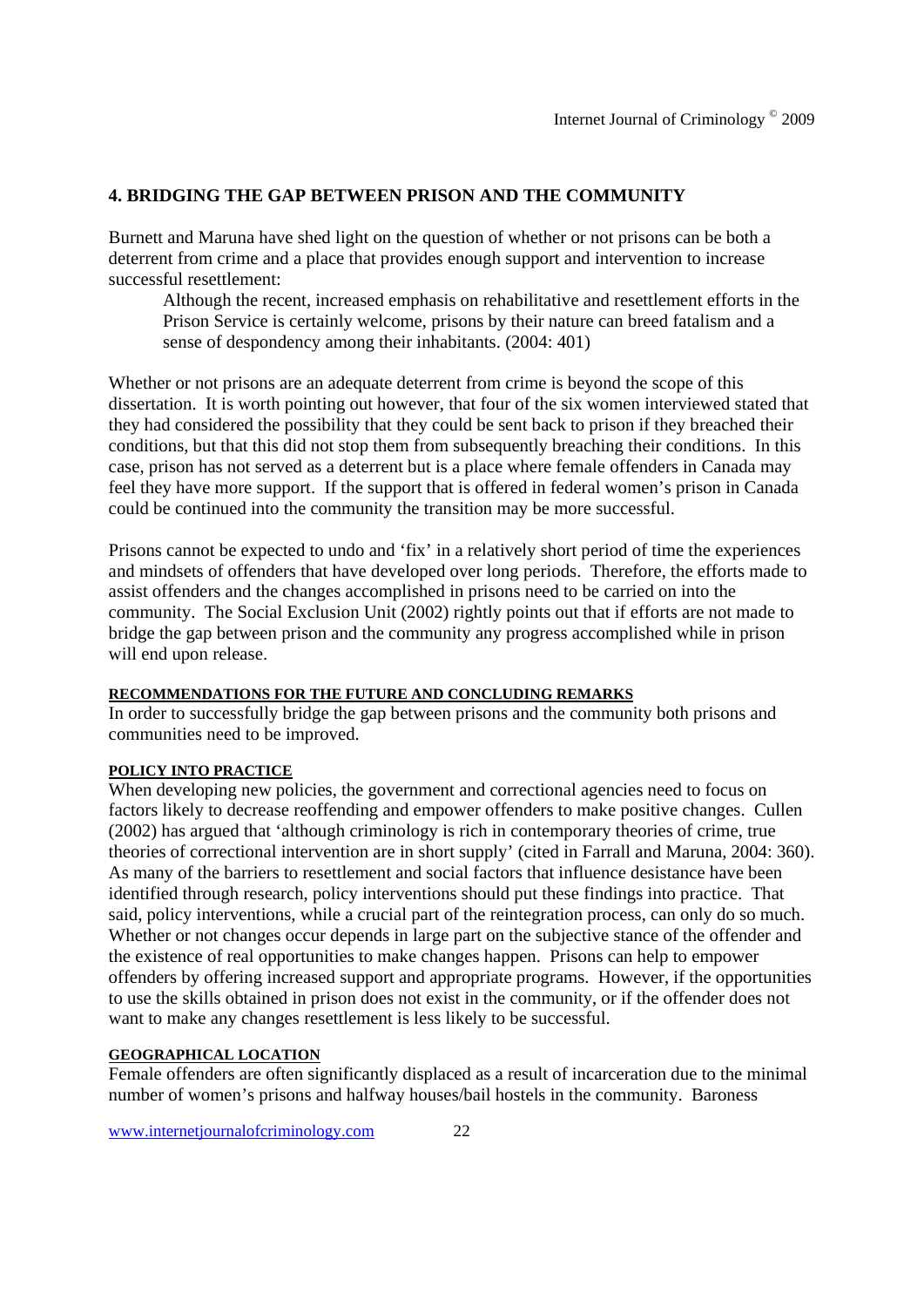# **4. BRIDGING THE GAP BETWEEN PRISON AND THE COMMUNITY**

Burnett and Maruna have shed light on the question of whether or not prisons can be both a deterrent from crime and a place that provides enough support and intervention to increase successful resettlement:

Although the recent, increased emphasis on rehabilitative and resettlement efforts in the Prison Service is certainly welcome, prisons by their nature can breed fatalism and a sense of despondency among their inhabitants. (2004: 401)

Whether or not prisons are an adequate deterrent from crime is beyond the scope of this dissertation. It is worth pointing out however, that four of the six women interviewed stated that they had considered the possibility that they could be sent back to prison if they breached their conditions, but that this did not stop them from subsequently breaching their conditions. In this case, prison has not served as a deterrent but is a place where female offenders in Canada may feel they have more support. If the support that is offered in federal women's prison in Canada could be continued into the community the transition may be more successful.

Prisons cannot be expected to undo and 'fix' in a relatively short period of time the experiences and mindsets of offenders that have developed over long periods. Therefore, the efforts made to assist offenders and the changes accomplished in prisons need to be carried on into the community. The Social Exclusion Unit (2002) rightly points out that if efforts are not made to bridge the gap between prison and the community any progress accomplished while in prison will end upon release.

# **RECOMMENDATIONS FOR THE FUTURE AND CONCLUDING REMARKS**

In order to successfully bridge the gap between prisons and the community both prisons and communities need to be improved.

## **POLICY INTO PRACTICE**

When developing new policies, the government and correctional agencies need to focus on factors likely to decrease reoffending and empower offenders to make positive changes. Cullen (2002) has argued that 'although criminology is rich in contemporary theories of crime, true theories of correctional intervention are in short supply' (cited in Farrall and Maruna, 2004: 360). As many of the barriers to resettlement and social factors that influence desistance have been identified through research, policy interventions should put these findings into practice. That said, policy interventions, while a crucial part of the reintegration process, can only do so much. Whether or not changes occur depends in large part on the subjective stance of the offender and the existence of real opportunities to make changes happen. Prisons can help to empower offenders by offering increased support and appropriate programs. However, if the opportunities to use the skills obtained in prison does not exist in the community, or if the offender does not want to make any changes resettlement is less likely to be successful.

# **GEOGRAPHICAL LOCATION**

Female offenders are often significantly displaced as a result of incarceration due to the minimal number of women's prisons and halfway houses/bail hostels in the community. Baroness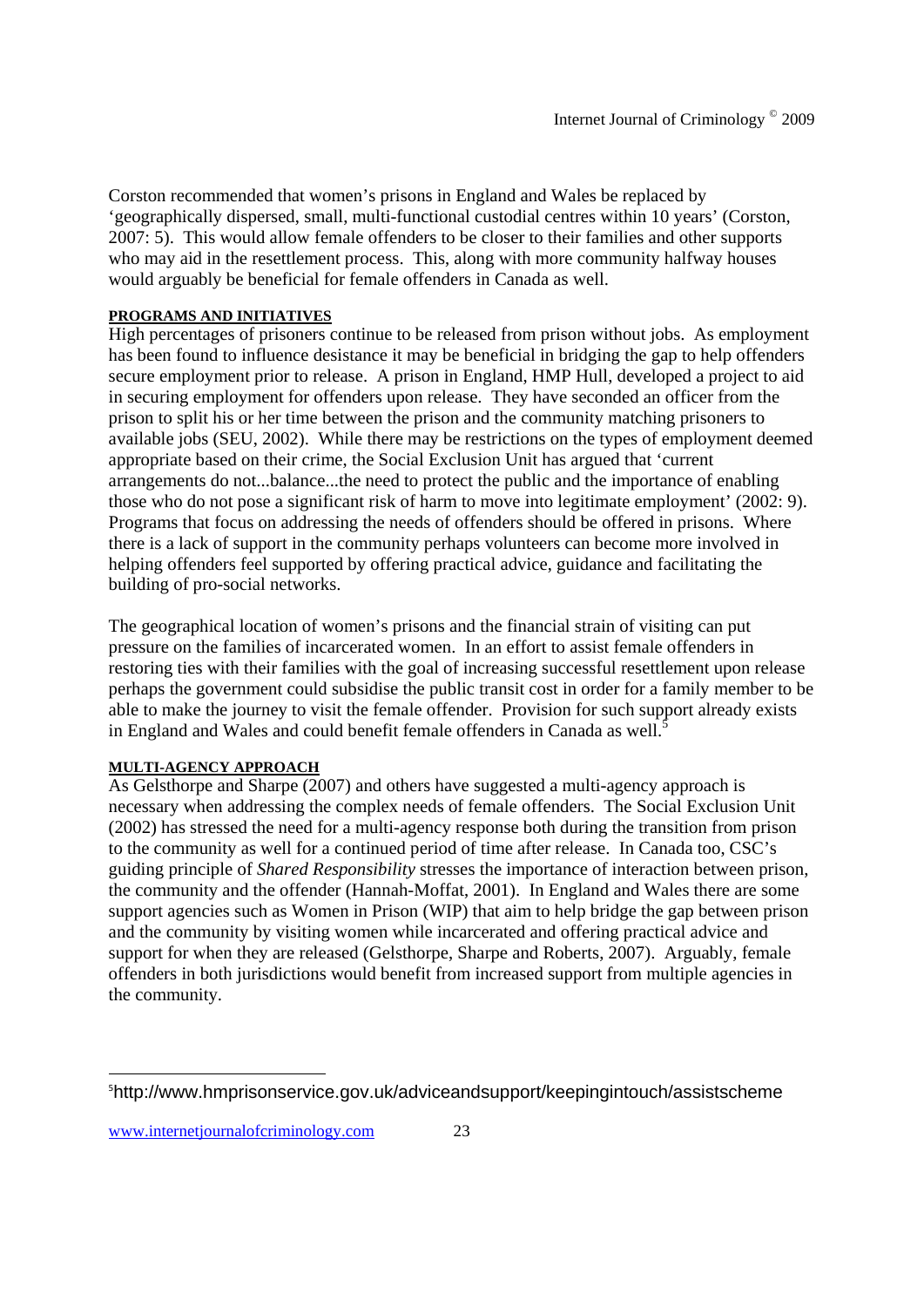Corston recommended that women's prisons in England and Wales be replaced by 'geographically dispersed, small, multi-functional custodial centres within 10 years' (Corston, 2007: 5). This would allow female offenders to be closer to their families and other supports who may aid in the resettlement process. This, along with more community halfway houses would arguably be beneficial for female offenders in Canada as well.

# **PROGRAMS AND INITIATIVES**

High percentages of prisoners continue to be released from prison without jobs. As employment has been found to influence desistance it may be beneficial in bridging the gap to help offenders secure employment prior to release. A prison in England, HMP Hull, developed a project to aid in securing employment for offenders upon release. They have seconded an officer from the prison to split his or her time between the prison and the community matching prisoners to available jobs (SEU, 2002). While there may be restrictions on the types of employment deemed appropriate based on their crime, the Social Exclusion Unit has argued that 'current arrangements do not...balance...the need to protect the public and the importance of enabling those who do not pose a significant risk of harm to move into legitimate employment' (2002: 9). Programs that focus on addressing the needs of offenders should be offered in prisons. Where there is a lack of support in the community perhaps volunteers can become more involved in helping offenders feel supported by offering practical advice, guidance and facilitating the building of pro-social networks.

The geographical location of women's prisons and the financial strain of visiting can put pressure on the families of incarcerated women. In an effort to assist female offenders in restoring ties with their families with the goal of increasing successful resettlement upon release perhaps the government could subsidise the public transit cost in order for a family member to be able to make the journey to visit the female offender. Provision for such support already exists in England and Wales and could benefit female offenders in Canada as well.<sup>5</sup>

# **MULTI-AGENCY APPROACH**

As Gelsthorpe and Sharpe (2007) and others have suggested a multi-agency approach is necessary when addressing the complex needs of female offenders. The Social Exclusion Unit (2002) has stressed the need for a multi-agency response both during the transition from prison to the community as well for a continued period of time after release. In Canada too, CSC's guiding principle of *Shared Responsibility* stresses the importance of interaction between prison, the community and the offender (Hannah-Moffat, 2001). In England and Wales there are some support agencies such as Women in Prison (WIP) that aim to help bridge the gap between prison and the community by visiting women while incarcerated and offering practical advice and support for when they are released (Gelsthorpe, Sharpe and Roberts, 2007). Arguably, female offenders in both jurisdictions would benefit from increased support from multiple agencies in the community.

<sup>5</sup> http://www.hmprisonservice.gov.uk/adviceandsupport/keepingintouch/assistscheme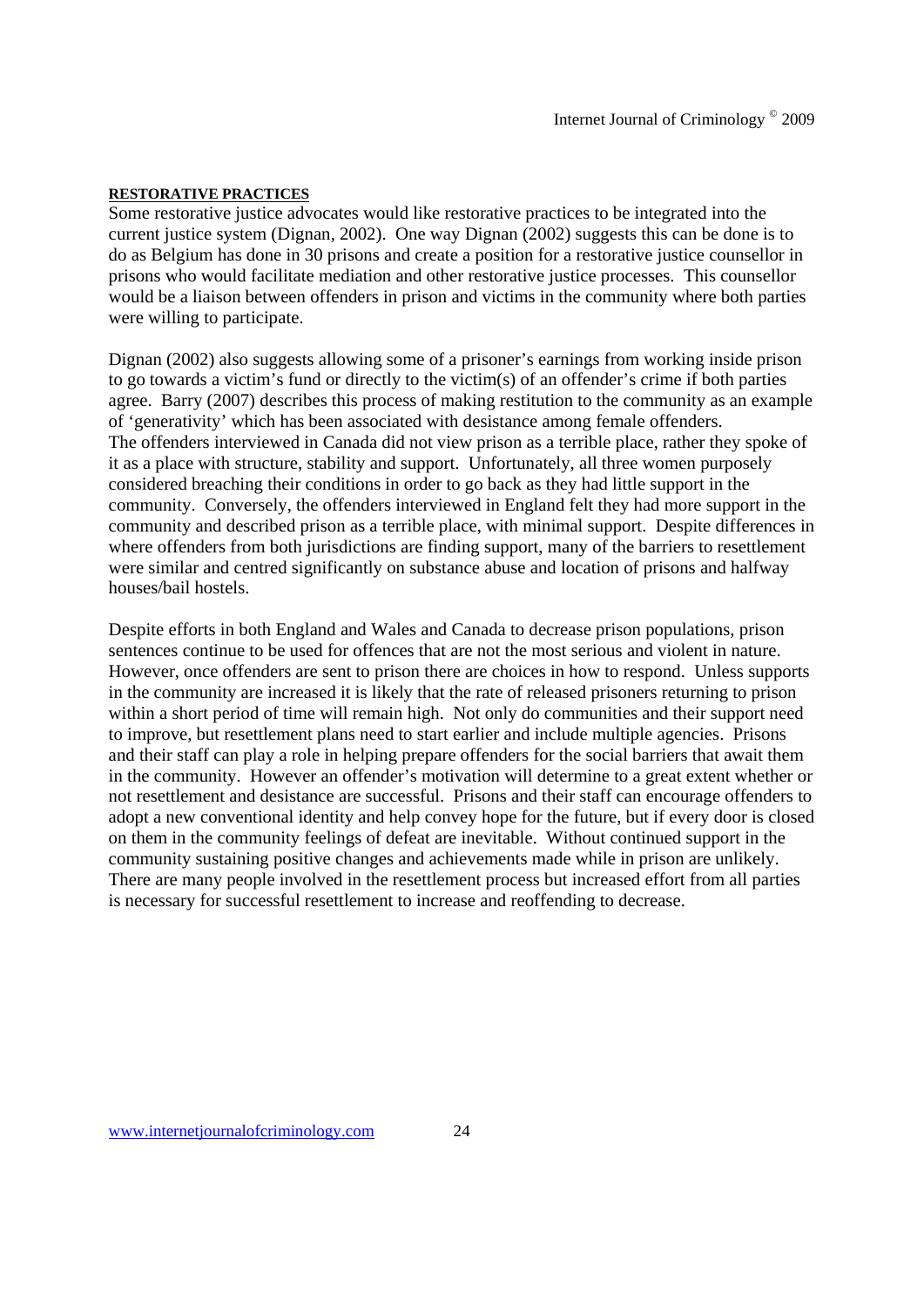#### **RESTORATIVE PRACTICES**

Some restorative justice advocates would like restorative practices to be integrated into the current justice system (Dignan, 2002). One way Dignan (2002) suggests this can be done is to do as Belgium has done in 30 prisons and create a position for a restorative justice counsellor in prisons who would facilitate mediation and other restorative justice processes. This counsellor would be a liaison between offenders in prison and victims in the community where both parties were willing to participate.

Dignan (2002) also suggests allowing some of a prisoner's earnings from working inside prison to go towards a victim's fund or directly to the victim(s) of an offender's crime if both parties agree. Barry (2007) describes this process of making restitution to the community as an example of 'generativity' which has been associated with desistance among female offenders. The offenders interviewed in Canada did not view prison as a terrible place, rather they spoke of it as a place with structure, stability and support. Unfortunately, all three women purposely considered breaching their conditions in order to go back as they had little support in the community. Conversely, the offenders interviewed in England felt they had more support in the community and described prison as a terrible place, with minimal support. Despite differences in where offenders from both jurisdictions are finding support, many of the barriers to resettlement were similar and centred significantly on substance abuse and location of prisons and halfway houses/bail hostels.

Despite efforts in both England and Wales and Canada to decrease prison populations, prison sentences continue to be used for offences that are not the most serious and violent in nature. However, once offenders are sent to prison there are choices in how to respond. Unless supports in the community are increased it is likely that the rate of released prisoners returning to prison within a short period of time will remain high. Not only do communities and their support need to improve, but resettlement plans need to start earlier and include multiple agencies. Prisons and their staff can play a role in helping prepare offenders for the social barriers that await them in the community. However an offender's motivation will determine to a great extent whether or not resettlement and desistance are successful. Prisons and their staff can encourage offenders to adopt a new conventional identity and help convey hope for the future, but if every door is closed on them in the community feelings of defeat are inevitable. Without continued support in the community sustaining positive changes and achievements made while in prison are unlikely. There are many people involved in the resettlement process but increased effort from all parties is necessary for successful resettlement to increase and reoffending to decrease.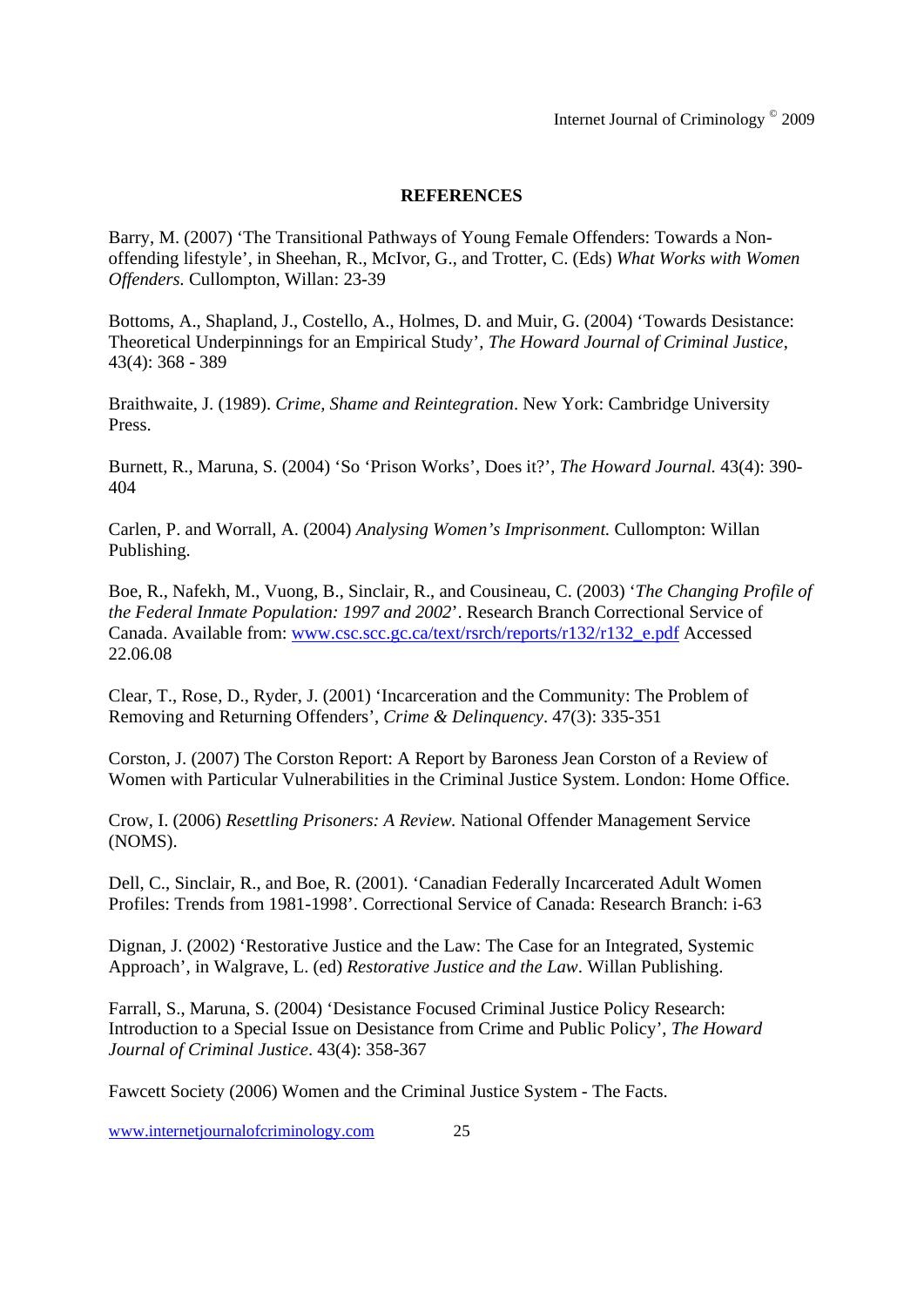# **REFERENCES**

Barry, M. (2007) 'The Transitional Pathways of Young Female Offenders: Towards a Nonoffending lifestyle', in Sheehan, R., McIvor, G., and Trotter, C. (Eds) *What Works with Women Offenders.* Cullompton, Willan: 23-39

Bottoms, A., Shapland, J., Costello, A., Holmes, D. and Muir, G. (2004) 'Towards Desistance: Theoretical Underpinnings for an Empirical Study', *The Howard Journal of Criminal Justice*, 43(4): 368 - 389

Braithwaite, J. (1989). *Crime, Shame and Reintegration*. New York: Cambridge University Press.

Burnett, R., Maruna, S. (2004) 'So 'Prison Works', Does it?', *The Howard Journal.* 43(4): 390- 404

Carlen, P. and Worrall, A. (2004) *Analysing Women's Imprisonment.* Cullompton: Willan Publishing.

Boe, R., Nafekh, M., Vuong, B., Sinclair, R., and Cousineau, C. (2003) '*The Changing Profile of the Federal Inmate Population: 1997 and 2002*'. Research Branch Correctional Service of Canada. Available from: www.csc.scc.gc.ca/text/rsrch/reports/r132/r132\_e.pdf Accessed 22.06.08

Clear, T., Rose, D., Ryder, J. (2001) 'Incarceration and the Community: The Problem of Removing and Returning Offenders', *Crime & Delinquency*. 47(3): 335-351

Corston, J. (2007) The Corston Report: A Report by Baroness Jean Corston of a Review of Women with Particular Vulnerabilities in the Criminal Justice System. London: Home Office.

Crow, I. (2006) *Resettling Prisoners: A Review.* National Offender Management Service (NOMS).

Dell, C., Sinclair, R., and Boe, R. (2001). 'Canadian Federally Incarcerated Adult Women Profiles: Trends from 1981-1998'. Correctional Service of Canada: Research Branch: i-63

Dignan, J. (2002) 'Restorative Justice and the Law: The Case for an Integrated, Systemic Approach', in Walgrave, L. (ed) *Restorative Justice and the Law*. Willan Publishing.

Farrall, S., Maruna, S. (2004) 'Desistance Focused Criminal Justice Policy Research: Introduction to a Special Issue on Desistance from Crime and Public Policy', *The Howard Journal of Criminal Justice*. 43(4): 358-367

Fawcett Society (2006) Women and the Criminal Justice System - The Facts.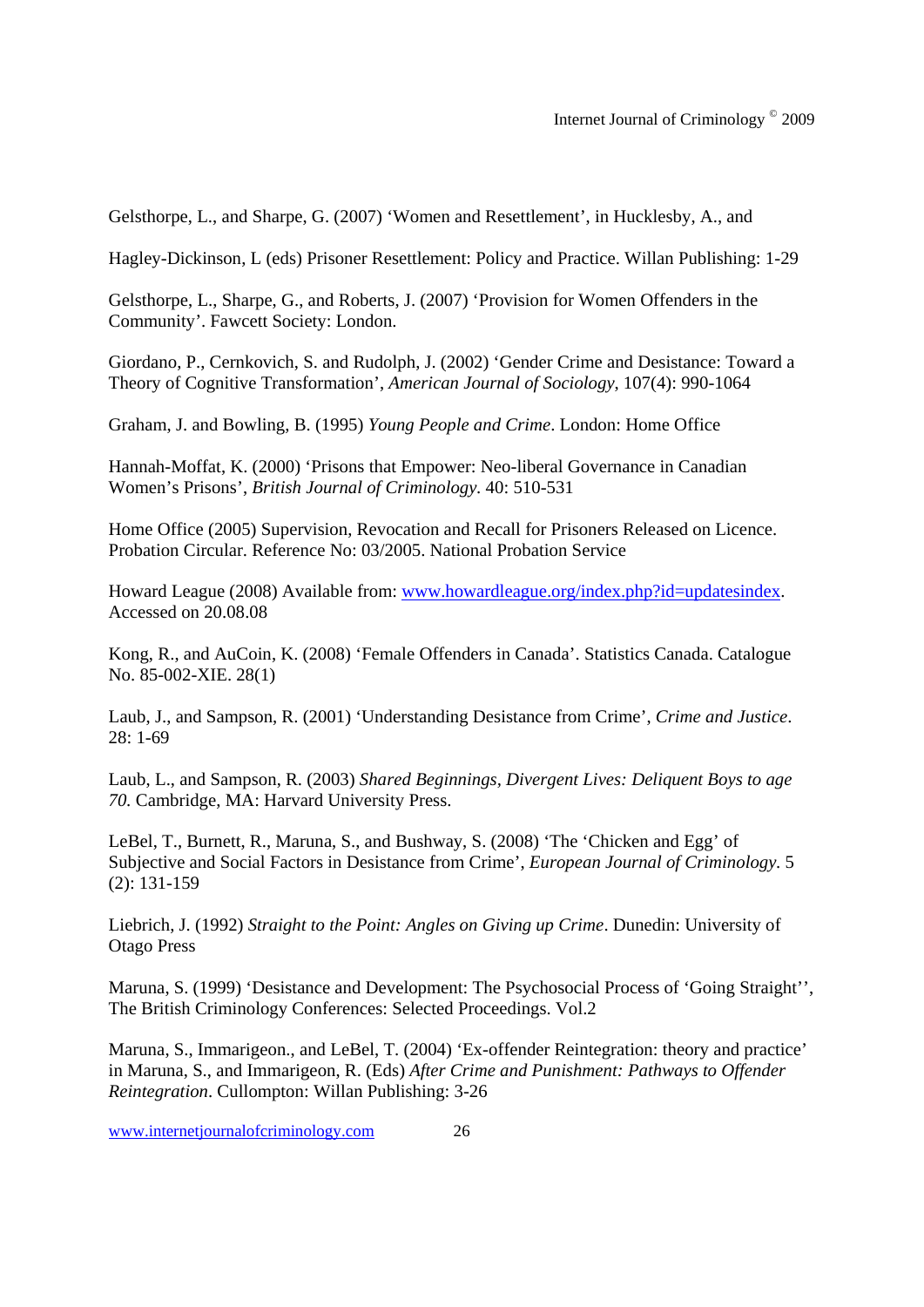Gelsthorpe, L., and Sharpe, G. (2007) 'Women and Resettlement', in Hucklesby, A., and

Hagley-Dickinson, L (eds) Prisoner Resettlement: Policy and Practice. Willan Publishing: 1-29

Gelsthorpe, L., Sharpe, G., and Roberts, J. (2007) 'Provision for Women Offenders in the Community'. Fawcett Society: London.

Giordano, P., Cernkovich, S. and Rudolph, J. (2002) 'Gender Crime and Desistance: Toward a Theory of Cognitive Transformation', *American Journal of Sociology*, 107(4): 990-1064

Graham, J. and Bowling, B. (1995) *Young People and Crime*. London: Home Office

Hannah-Moffat, K. (2000) 'Prisons that Empower: Neo-liberal Governance in Canadian Women's Prisons', *British Journal of Criminology.* 40: 510-531

Home Office (2005) Supervision, Revocation and Recall for Prisoners Released on Licence. Probation Circular. Reference No: 03/2005. National Probation Service

Howard League (2008) Available from: www.howardleague.org/index.php?id=updatesindex. Accessed on 20.08.08

Kong, R., and AuCoin, K. (2008) 'Female Offenders in Canada'. Statistics Canada. Catalogue No. 85-002-XIE. 28(1)

Laub, J., and Sampson, R. (2001) 'Understanding Desistance from Crime', *Crime and Justice*. 28: 1-69

Laub, L., and Sampson, R. (2003) *Shared Beginnings, Divergent Lives: Deliquent Boys to age 70.* Cambridge, MA: Harvard University Press.

LeBel, T., Burnett, R., Maruna, S., and Bushway, S. (2008) 'The 'Chicken and Egg' of Subjective and Social Factors in Desistance from Crime', *European Journal of Criminology.* 5 (2): 131-159

Liebrich, J. (1992) *Straight to the Point: Angles on Giving up Crime*. Dunedin: University of Otago Press

Maruna, S. (1999) 'Desistance and Development: The Psychosocial Process of 'Going Straight'', The British Criminology Conferences: Selected Proceedings. Vol.2

Maruna, S., Immarigeon., and LeBel, T. (2004) 'Ex-offender Reintegration: theory and practice' in Maruna, S., and Immarigeon, R. (Eds) *After Crime and Punishment: Pathways to Offender Reintegration*. Cullompton: Willan Publishing: 3-26